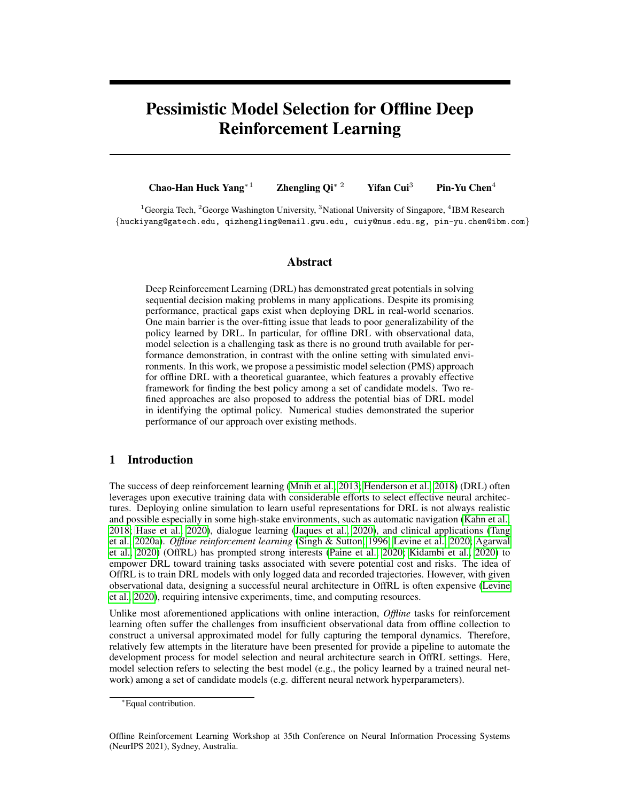# Pessimistic Model Selection for Offline Deep Reinforcement Learning

Chao-Han Huck Yang<sup>∗1</sup> Zhengling Qi<sup>∗ 2</sup> Yifan Cui<sup>3</sup> Pin-Yu Chen<sup>4</sup>

<sup>1</sup> Georgia Tech, <sup>2</sup> George Washington University, <sup>3</sup> National University of Singapore, <sup>4</sup>IBM Research {huckiyang@gatech.edu, qizhengling@email.gwu.edu, cuiy@nus.edu.sg, pin-yu.chen@ibm.com}

## Abstract

Deep Reinforcement Learning (DRL) has demonstrated great potentials in solving sequential decision making problems in many applications. Despite its promising performance, practical gaps exist when deploying DRL in real-world scenarios. One main barrier is the over-fitting issue that leads to poor generalizability of the policy learned by DRL. In particular, for offline DRL with observational data, model selection is a challenging task as there is no ground truth available for performance demonstration, in contrast with the online setting with simulated environments. In this work, we propose a pessimistic model selection (PMS) approach for offline DRL with a theoretical guarantee, which features a provably effective framework for finding the best policy among a set of candidate models. Two refined approaches are also proposed to address the potential bias of DRL model in identifying the optimal policy. Numerical studies demonstrated the superior performance of our approach over existing methods.

## 1 Introduction

The success of deep reinforcement learning [\(Mnih et al., 2013;](#page-11-0) [Henderson et al., 2018\)](#page-10-0) (DRL) often leverages upon executive training data with considerable efforts to select effective neural architectures. Deploying online simulation to learn useful representations for DRL is not always realistic and possible especially in some high-stake environments, such as automatic navigation [\(Kahn et al.,](#page-10-1) [2018;](#page-10-1) [Hase et al., 2020\)](#page-10-2), dialogue learning [\(Jaques et al., 2020\)](#page-10-3), and clinical applications [\(Tang](#page-12-0) [et al., 2020a\)](#page-12-0). *Offline reinforcement learning* [\(Singh & Sutton, 1996;](#page-12-1) [Levine et al., 2020;](#page-11-1) [Agarwal](#page-9-0) [et al., 2020\)](#page-9-0) (OffRL) has prompted strong interests [\(Paine et al., 2020;](#page-11-2) [Kidambi et al., 2020\)](#page-10-4) to empower DRL toward training tasks associated with severe potential cost and risks. The idea of OffRL is to train DRL models with only logged data and recorded trajectories. However, with given observational data, designing a successful neural architecture in OffRL is often expensive [\(Levine](#page-11-1) [et al., 2020\)](#page-11-1), requiring intensive experiments, time, and computing resources.

Unlike most aforementioned applications with online interaction, *Offline* tasks for reinforcement learning often suffer the challenges from insufficient observational data from offline collection to construct a universal approximated model for fully capturing the temporal dynamics. Therefore, relatively few attempts in the literature have been presented for provide a pipeline to automate the development process for model selection and neural architecture search in OffRL settings. Here, model selection refers to selecting the best model (e.g., the policy learned by a trained neural network) among a set of candidate models (e.g. different neural network hyperparameters).

<sup>∗</sup>Equal contribution.

Offline Reinforcement Learning Workshop at 35th Conference on Neural Information Processing Systems (NeurIPS 2021), Sydney, Australia.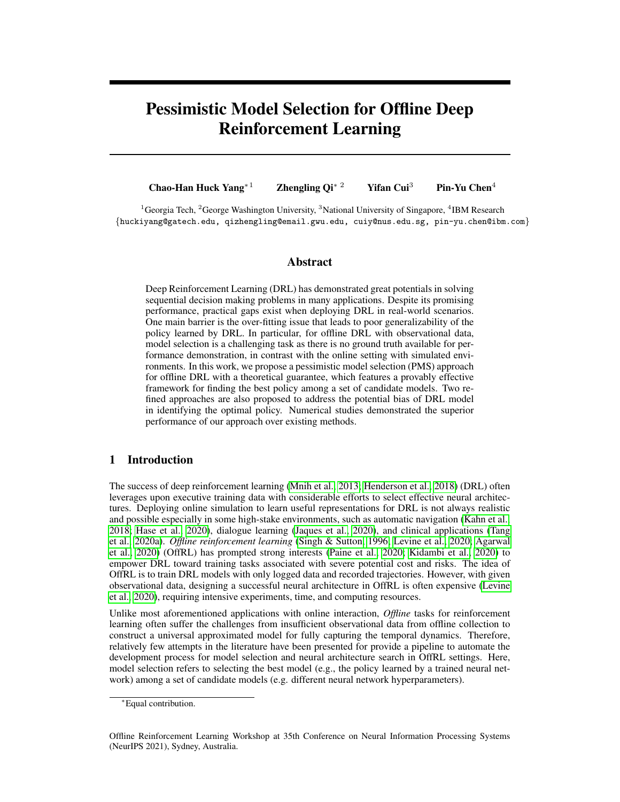<span id="page-1-0"></span>

Figure 1: Model selection algorithms for offline DQN learning: (a) proposed pessimistic model selection (PMS); (b) weighted importance sampling (WIS) [\(Gottesman et al., 2018\)](#page-10-5); (c) approximate model (AM) [\(Voloshin et al., 2019\)](#page-12-2); (d) fitted Q evaluation (FQE) [\(Le et al., 2019\)](#page-10-6). In this figure, the algorithms are trained and evaluated in a navigation task  $(E_2)$  discussed in Section [7](#page-7-0) and Appendix [C.](#page-18-0)

In this work, we propose a novel model selection approach to automate OffRL development process, which provides an evaluation mechanism to identify a well-performed DRL model given offline data. Our method utilizes statistical inference to provide uncertainty quantification on value functions trained by different DRL models, based on which a pessimistic idea is incorporated to select the best model/policy. In addition, two refined approaches are further proposed to address the possible biases of DRL models in identifying the optimal policy. In this work, we mainly focus on deep Q-network [\(Mnih et al., 2013,](#page-11-0) [2015\)](#page-11-3) (DQN) based architectures, while our proposed methods can be extended to other settings. Figure [1](#page-1-0) demonstrates the superior performance of the proposed pessimistic model selection (PMS) method in identifying the best model among 70 DRL models of different algorithms on one navigation task (See Appendix [C](#page-18-0) for details), compared with the model selection method by [\(Tang & Wiens, 2021\)](#page-12-3) which uses three offline policy evaluation (OPE) estimates for validation. Specifically, based on the derived confidence interval of the OPE value for each candidate model, the final selected model by our PMS method is the one that has the largest lower confidence limit, which exactly has the largest true OPE value among all candidate models. In contrast, none of three OPE estimates used for model selection by [Tang & Wiens](#page-12-3) [\(2021\)](#page-12-3) can identify the best model due to the inevitable overfitting issue during the validation procedure.

To close this section, we summarize the contributions of this work as follows:

- We propose a novel PMS framework, which targets finding the best policy from given candidate models (e.g., neural architecture, hyperparameters, etc) with offline data for DQN learning. Unlike many existing methods, our approach essentially does not involve additional hyperparameter tuning except for two interpretable parameters.
- Leveraging asymptotic analysis in statistical inference, we provide uncertainty quantification on each candidate model, based on which our method can guarantee that the worst performance of finally selected model is the best among all candidate models. See Corollary [1](#page-6-0) for more details.
- To address potential biases of candidate models in identifying the optimal policy, two refined approaches are proposed, one of which can be shown to have regret bounded by the smallest error bound among all candidate models under some technical conditions (See Corollary [2\)](#page-7-1). To the best of our knowledge, this is the first model-selection method in offline DRL with such a guarantee.
- The numerical results demonstrate that the proposed PMS shows superior performance in different DQN benchmark environments.

## 2 Related Work

Model Selection for Reinforcement Learning: Model selection has been studied in online decision-making environments [\(Fard & Pineau, 2010;](#page-9-1) [Lee & Taylor, 2014\)](#page-10-7). Searching nearly optimal online model is a critical topic for online bandits problems with limited information feed-backs. For linear contextual bandits, [Abbasi-Yadkori et al.](#page-9-2) [\(2011\)](#page-9-2); [Chu et al.](#page-9-3) [\(2011\)](#page-9-3) are aiming to find the best worst-case bound when the optimal model class is given. For model-based reinforcement learning, [Pacchiano et al.](#page-11-4) [\(2020\)](#page-11-4) introduces advantages of using noise augmented Markov Decision Processes (MDP) to archive a competitive regret bound to select an individual model with constraints for ensemble training. Recently, [Lee et al.](#page-11-5) [\(2021\)](#page-11-5) utilized an online algorithm to select a low-complexity model based on a statistical test. However, most of the previous model selection approaches are focused on the online reinforcement learning setting. Very few works including [Farah](#page-9-4)[mand & Szepesvari](#page-9-4) [\(2011\)](#page-9-4); [Paine et al.](#page-11-2) [\(2020\)](#page-11-2); [Su et al.](#page-12-4) [\(2020\)](#page-12-4); [Yang et al.](#page-12-5) [\(2020b\)](#page-12-5); [Kuzborskij](#page-10-8) ´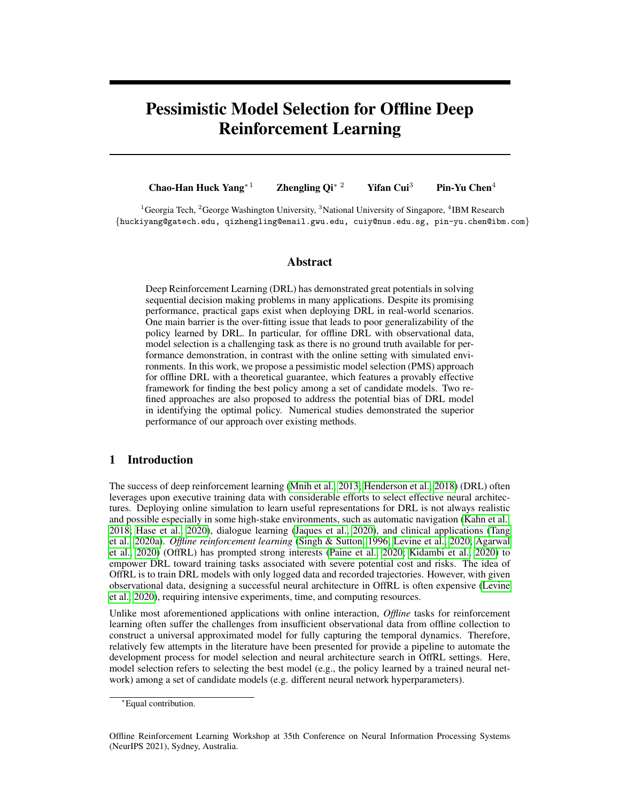[et al.](#page-10-8) [\(2021\)](#page-10-8); [Tang & Wiens](#page-12-3) [\(2021\)](#page-12-3); [Xie & Jiang](#page-12-6) [\(2021\)](#page-12-6) are focused on the offline setting. In particular, [\(Su et al., 2020;](#page-12-4) [Yang et al., 2020b;](#page-12-5) [Kuzborskij et al., 2021\)](#page-10-8) focus on model selection for OPE problem. (Farahmand & Szepesvári, 2011; [Xie & Jiang, 2021\)](#page-12-6) select the best model/policy based on minimizing the Bellman error, while the first approach requires an additional tuning and latter does not. [\(Paine et al., 2020;](#page-11-2) [Tang & Wiens, 2021\)](#page-12-3) proposed several criteria to perform model selection in OffRL and mainly focused on numerical studies. In this work, we provide one of the first model selection approaches based on statistical inference for RL tasks with offline data collection.

Offline-Policy Learning: Training a DRL agent with offline data collection often relies on batchwise optimization. Batch-Constrained deep Q-learning [\(Fujimoto et al., 2019\)](#page-10-9) (BCQ) is considered one OffRL benchmark that uses a generative model to minimize the distance of selected actions to the batch-wise data with a perturbation model to maximize its value function. Other popular OffRL approaches, such as behavior regularized actor-critic (BRAC) [\(Wu et al., 2019\)](#page-12-7), and random ensemble mixture [\(Agarwal et al., 2020\)](#page-9-0) (REM) (as an optimistic perspective on large dataset), have also been studied in RL Unplugged (RLU) [\(Gulcehre et al., 2020\)](#page-10-10) benchmark together with behavior cloning [\(Bain & Sammut, 1995;](#page-9-5) [Ross & Bagnell, 2010\)](#page-11-6) (BC), DQN, and DQN with quantile regression [\(Dabney et al., 2018\)](#page-9-6) (QR-DQN). RLU suggests a naive approach based on human experience for offline policy selection, which requires independent modification with shared domain expertise (e.g., Atari environments) for tuning each baseline. Meanwhile, how to design a model selection algorithm for OffRL remains an open question. Motivated by the benefits and the challenges as mentioned earlier of the model selection for *offline* DRL, we aim to develop a unified approach for model selection in offline DRL with theoretical guarantee and interpretable tuning parameters.

## 3 Background and Notations

Consider a time-homogeneous Markov decision process (MDP) characterized by a tuple  $\mathcal{M} =$  $(S, A, p, r, \gamma)$ , where  $\overline{S}$  is the state space, A is the action space, p is the transition kernel, i.e.,  $p(s'|s, a)$  is the probability mass (density) of transiting to s' given current state-action  $(s, a)$ , r is the reward function, i.e.,  $E(R_t/S_t = s, A_t = a) = r(s, a)$  for t 0, and 0  $\gamma < 1$  is a discount factor. For simplifying presentation, we assume  $A$  and  $S$  are both finite. But our method can also be applied in continuous cases. Under this MDP setting, it is sufficient to consider stationary Markovian policies for optimizing discounted sum of rewards [\(Puterman, 1994\)](#page-11-7). Denote  $\pi$  as a stationary Markovian policy mapping from the state space S into a probability distribution over the action space. For example,  $\pi(a/s)$  denotes the probability of choosing action a given the state value s. One essential goal of RL is to learn an optimal policy that maximizes the value function. Define  $V^{\pi}(s) = \sum_{t=0}^{+\infty} \gamma^t E^{\pi}[R_t/S_0 = s]$  and then the optimal policy is defined as  $\pi^*$  2 argmax<sub> $\pi$ </sub>  $fV(\pi)$  ,  $(1 - \gamma) \sum_{s \in S} V^{\pi}(s) \nu(s) g$ , where  $\nu$  denotes some reference distribution function over S. In addition, we denote Q-function as  $Q^{\pi}(s, a) = \sum_{t=0}^{+\infty} \gamma^t E^{\pi}(R_t/A_0 = a, S_0 = s)$ for  $s \neq 2$  S and  $a \neq 2$  A. In this work, we consider the OffRL setting. The observed data consist of  $N$  trajectories, corresponding to  $N$  independent and identically distributed copies of  $f(S_t, A_t, R_t)$   $g_{t\geq0}$ . For any  $i \neq 1$ ,  $\sigma$ ,  $n g$ , data collected from the *i*th trajectory can be summarized by  $\vec{f}(S_{i,t}, A_{i,t}, R_{i,t}, S_{i,t+1})g_{0 \leq t < T}$ , where T denotes the termination time. We assume that the data are generated by some fixed stationary policy denoted by b.

Among many RL algorithms, we focus on Q-learning type of methods. The foundation is the optimal Bellman equation given below.

<span id="page-2-0"></span>
$$
Q^*(s, a) = \mathbb{E}[R_t + \gamma \max_{a^0 \in \mathcal{A}} Q^*(S_{t+1}, a') | S_t = s, A_t = a],
$$
\n(1)

where  $Q^*$  is called optimal Q-function, i.e., Q-function under  $\pi^*$ . Among others, fitted q-iteration (FQI) is one of the most popular RL algorithms [\(Ernst et al., 2005\)](#page-9-7). FQI leverages supervised learning techniques to iteratively solve the optimal Bellman equation [\(1\)](#page-2-0) and shows competitive performance in OffRL.

To facilitate our model-selection algorithm, we introduce the discounted visitation probability, mo-tivated by the marginal importance sampling estimator in [\(Liu et al., 2018\)](#page-11-8). For any  $t = 0$ , let  $p_t^{\pi}(s, a)$  denote the t-step visitation probability  $Pr^{\pi}(S_t = s, A_t = a)$  assuming the actions are se $p_t$  (s, a) denote the *t*-step visitation probability  $r_1$  ( $s_t = s$ ,  $A_t = a$ ) assuming the actions are selected according to  $\pi$  at time 1, t. We define the discounted visitation probability function as  $d^{\pi}(s, a) = (1 \gamma) \sum_{t \geq 0} \gamma^t p_t^{\pi}(s, a)$ . To adjust the distribution from behavior policy to any target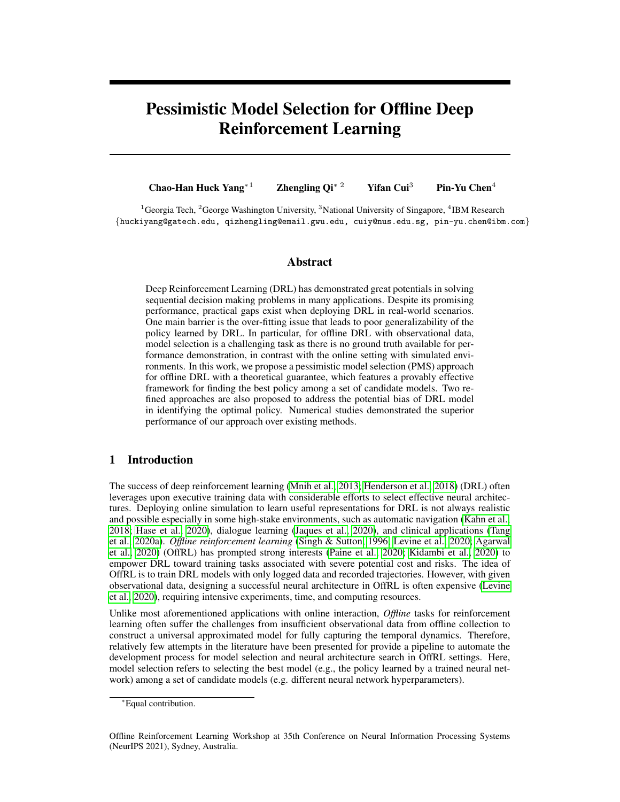policy  $\pi$ , we use the discounted probability ratio function defined as

<span id="page-3-0"></span>
$$
\omega^{\pi,\nu}(s,a) = \frac{d^{\pi}(s,a)}{\frac{1}{T} \sum_{t=0}^{T-1} p_t^b(s,a)},
$$
\n(2)

where  $p_t^b(s, a)$  is the t-step visitation probability under the behavior policy b, i.e.,  $Pr^b(S_t = s, A_t = s)$ a). The ratio function  $\omega^{\pi,\nu}(s, a)$  is always assumed well defined. The estimation of ratio function is motivated by the observation that for every measurable function  $f$  defined over  $S$  - A,

$$
E[\frac{1}{T}\sum_{t=0}^{T-1}\omega^{\pi,\nu}(S_t, A_t)(f(S_t, A_t) - \gamma \sum_{a^0 \in \mathcal{A}} \pi(a' \mid S_{t+1})f(S_{t+1}, a'))]
$$
  
=  $(1 - \gamma)E_{S_0 \sim \nu}[\sum_{a \in \mathcal{A}} \pi(a \mid S_0)f(a, S_0)],$  (3)

based on which several min-max estimation methods has been proposed such as [\(Liu et al., 2018;](#page-11-8) [Nachum et al., 2019;](#page-11-9) [Uehara & Jiang, 2019\)](#page-12-8); We refer to [\(Uehara & Jiang, 2019,](#page-12-8) Lemma 1) for a formal proof of equation [\(3\)](#page-3-0).

Finally, because our proposed model selection algorithm relies on an efficient evaluation of any target policy using batch data, we introduce three types of offline policy evaluation estimators in the existing RL literature. The first type is called direct method via estimating Q-function, based on the relationship that  $V(\pi) = (1 - \gamma) \sum_{s \in S, a \in A} \pi(a/s) Q(s, a) \nu(s)$ . The second type is motivated by the importance sampling [\(Precup, 2000\)](#page-11-10). Based on the definition of ratio function, we can see  $V(\pi) = \mathbb{E}[\frac{1}{T} \sum_{t=0}^{T-1} \omega^{\pi,\nu} (S_t, A_t) R_t]$ , from which a plugin estimator can be constructed. The last type of OPE methods combines the first two types of methods and construct a so-called doubly robust estimator [\(Kallus & Uehara, 2019;](#page-10-11) [Tang et al., 2020b\)](#page-12-9). This estimator is motivated by the efficient influence function of  $V(\pi)$  under a transition-sampling setting and the model that consists of the set of all observed data distributions given by arbitrarily varying the initial, transition, reward, and behavior policy distributions, subject to certain minimal regularity and identifiability conditions [\(Kallus & Uehara, 2019\)](#page-10-11), i.e.,

<span id="page-3-1"></span>
$$
\frac{1}{T} \sum_{t=0}^{T-1} \omega^{\pi,\nu} (S_t, A_t) (R_t + \gamma \sum_{a \in \mathcal{A}} \pi(a|S_{t+1}) Q^{\pi}(S_{t+1}, a) - Q^{\pi}(S_t, A_t)) \n+ (1 - \gamma) \mathbb{E}_{S_0 \sim \nu} \left[ \sum_{a \in \mathcal{A}} \pi(a|S_0) Q^{\pi}(S_0, a) \right] - \mathcal{V}(\pi).
$$
\n(4)

A nice property of doubly robust estimators is that as long as either the Q-function  $Q^{\pi}(s, a)$  or the ratio function  $\omega^{\pi,\nu}(s,a)$  can be consistently estimated, the final estimator of  $V(\pi)$  is consistent [\(Robins et al., 1994;](#page-11-11) [Jiang & Li, 2015;](#page-10-12) [Kallus & Uehara, 2019;](#page-10-11) [Tang et al., 2020b\)](#page-12-9). Furthermore, a doubly robust estimator based on [\(4\)](#page-3-1) can achieve semiparametric efficiency under the conditions proposed by [\(Kallus & Uehara, 2019\)](#page-10-11), even if nuisance parameters are estimated via black box models such as deep neural networks. Therefore such an estimator is particularly suitable under the framework of DRL. Our proposed algorithm will rely on this doubly robust type of OPE estimator.

#### 4 Pessimistic Model Selection (PMS) for Best Policy

In this section, we discuss our pessimistic model selection approach. For the ease of presentation, we focus on the framework of (deep) Q-learning, where policy optimization is performed via estimating the optimal Q-function. While this covers a wide range of state-of-the-art RL algorithms such as FQI [\(Ernst et al., 2005\)](#page-9-7), DQN [\(Mnih et al., 2013\)](#page-11-0) and QR-DQN [\(Dabney et al., 2018\)](#page-9-6), we remark that our method is not restricted to this class of algorithms.

Suppose we have total number of  $L$  candidate models for policy optimization, where each candidate model will output an estimated policy, say  $\hat{\pi}_l$  for 1 *l* L. Our goal is to select the best policy among  $L$  policies during our training procedure. Note that these  $L$  models can be different deep neural network architectures, hyper-parameters, and various classes of functions for approximating the optimal Q-function or policy class, etc.

#### 4.1 Difficulties and Challenges

Given a candidate l among  $L$  models, we can apply for example FQI using the whole batch data  $D_n$  to learn an estimate of  $Q^*$  as  $\hat{Q}_l$  and an estimated optimal policy  $\hat{\pi}_l$  defined as  $\hat{\pi}_l(a/s)$  2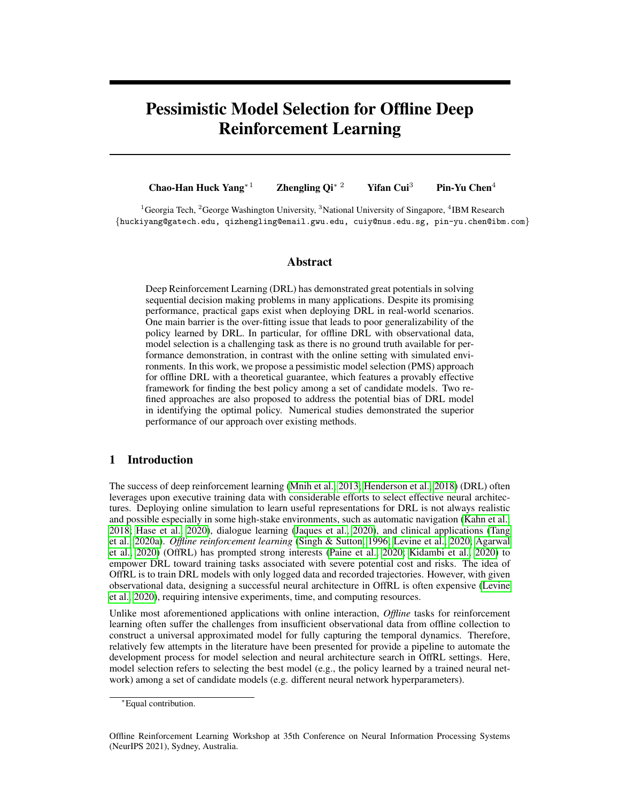$argmax_{a\in\mathcal{A}}\widehat{Q}_l(s, a)$ , for every s 2 S. In order to select the final policy, one may use a naive greedy approach to choose some  $t$  such that  $t \geq \argmax_l \mathbb{E}_{S_0 \sim \nu}[\sum_{a \in A} \hat{\pi}_l(a/s) \hat{Q}_l(S_0, a)]$ , as our goal is to maximize  $V(\pi)$ . However, using this criterion will lead to over-fitting. Specifically, due to the distributional mismatch between the behavior policy and target policies, which is regarded as a fundamental challenge in OffRL [\(Levine et al., 2020\)](#page-11-1), we may easily overestimate Q-function, especially when some state-action pairs are not sufficiently visited in the batch data. This issue becomes more serious when we apply max-operator during our policy optimization procedure. Such observations have already been noticed in recent works, such as [\(Kumar et al., 2019,](#page-10-13) [2020;](#page-10-14) [Paine](#page-11-2) [et al., 2020;](#page-11-2) [Yu et al., 2020;](#page-12-10) [Tang & Wiens, 2021;](#page-12-3) [Jin et al., 2021\)](#page-10-15). Therefore, it may be inappropriate to use this criterion for selecting the best policy among L models.

One may also use cross-validation procedure to address the issue of over-fitting or overestimating Q-function for model selection. For example, one can use OPE approaches on the validate dataset to evaluate the performance of estimated policies from the training data set (see Tang  $\&$  Wiens [\(2021\)](#page-12-3) for more details). However, since there is no ground truth for the value function of any policies, the OPE procedure on the validation dataset cannot avoid involving additional tuning on hyperparameters. Therefore such a procedure may still incur a large variability due to the overfitting issue. In addition, arbitrarily splitting the dataset for cross-validation and ignoring the Markov dependent structure will cause additional errors, which should be seriously taken care of.

#### 4.2 Sequential Model Selection

In the following, we propose a pessimistic model selection algorithm for finding an optimal policy among  $L$  candidate models. Our goal is to develop an approach to estimate the value function under each candidate model during our policy optimization procedure with theoretical guarantee. The proposed algorithm is motivated by recent development in statistical inference of sequential decision making [\(Luedtke & Van Der Laan, 2016;](#page-11-12) [Shi et al., 2020\)](#page-11-13). The idea is to first estimate optimal Q-function  $Q^*$ , optimal policy  $\pi^*$  and the resulting ratio function based on a chunk of data, and evaluate the performance of the estimated policy on the next chunk of data using previously estimated nuisance functions. Then we combine the first two chunks of data, perform the same estimation procedure and evaluation on the next chunk of data. The framework of MDP provides a nature way of splitting the data.

Specifically, denote the index of our batch dataset  $D_n$  as  $J_0 = f(i, t) : 1 \quad i \quad n, 0 \quad t < Tg$ . We divide  $J_0$  into O number of non-overlapping subsets, denoted by  $J_1$ , ,  $J_O$  and the corresponding data subsets are denoted by  $D_1$ ,  $D_O$ . Without loss of generality, we assume these data subsets have equal size. We require that for any  $1 \quad o_1 < o_2 \quad O$ , any  $(i_1, t_1) \n\supseteq J_{o_1}$  and  $(i_2, t_2) \n\supseteq J_{o_2}$  $J_{o_2}$ , either  $i_2 \neq i_1$  or  $t_1 < t_2$ . For 1 o O, denote the aggregate chunks of data as  $D_o =$  $\{(S_{i,t}, A_{i,t}, R_{i,t}, S_{i,t+1}), (i,t) \supseteq J_o = J_1 \left[ \begin{array}{cc} I & J_o \end{array} \right].$ 

We focus on FQI algorithm for illustrative purpose and it should be noticed that our algorithm can be applied to other RL algorithms. Starting from the first chunk of our batch data, at the o-th step  $(o = 1, , o = 1)$ , for each candidate model  $l = 1, , l$ , we apply FQI on  $D<sub>o</sub>$  to compute  $\hat{Q}_l^{(o)}$  as an estimate of optimal Q-function and obtain  $\hat{\pi}_l^{(o)}$  $\hat{h}_l^{(o)}$  correspondingly such that  $\hat{\pi}_l^{(o)}$  $\binom{0}{l}(a/s)$  2  $\argmax_{a \in \mathcal{A}} Q_l^{(o)}(s, a)$  for every s 2 S. Additionally, we compute an estimate of ratio function  $\omega^{\hat{\pi}_{l}^{(o)},\nu}$  using  $D_o$  by many existing algorithms such as [Nachum et al.](#page-11-9) [\(2019\)](#page-11-9). Denote the resulting estimator as  $\hat{\omega}^{\hat{\pi}_i^{(o)},\nu}$ . The purpose of estimating this ratio function is to improve the efficiency and robustness of our value function estimation for each candidate model. Then we compute the and robustness of our value function estimation for each candidate model. Then we compute the estimated value function of  $\hat{\pi}_{l}^{(o)}$  $\binom{0}{l}$  on  $D_{o+1}$  as

$$
\hat{\mathcal{V}}_{\mathcal{D}_{o+1}}(\hat{\pi}_l^{(o)}) = (1 - \gamma) \mathbb{E}_{S_0 \sim \nu} \left[ \sum_{a_0 \in \mathcal{A}} \hat{\pi}_l^{(o)}(a_0 | S_0) \hat{Q}_l^{(o)}(S_0, a_0) \right]
$$
(5)

<span id="page-4-0"></span>
$$
+E_{\mathcal{D}_{o+1}}[\widehat{\omega}^{\widehat{\pi}_{l}^{(o)},\nu}(S,A)(R+\gamma\sum_{a^0\in\mathcal{A}}\widehat{\pi}_{l}^{(o)}(a'|S')\widehat{Q}_{l}^{(o)}(S',a')-\widehat{Q}_{l}^{(o)}(S,A))],\tag{6}
$$

where  $E_{\mathcal{D}_{o+1}}$  denotes the empirical average over the  $(o + 1)$  chunk of dataset and  $(S, A, R, S')$  is one transition tuple in  $D_{o+1}$ . While one can aggregate  $\hat{V}_{\mathcal{D}_{o+1}} (\hat{\pi}_{l}^{(o)})$  $\binom{0}{l}$  for 1 o  $\binom{(O-1)}{l}$  to evaluate the performance of  $L$  models, the uncertainty of these estimates due to the finite sample estimation should not be ignored. Therefore, in the following, we derive an uncertainty quantification of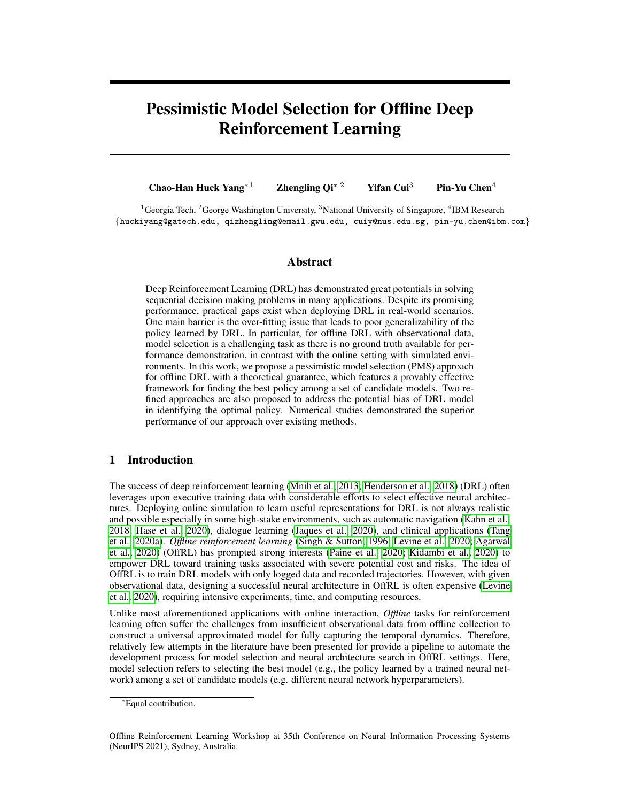our estimated value function for each candidate model, for performing model selection. Based on equation [\(4\)](#page-3-1), (conditioning on  $D_o$ ), the variance of  $\hat{V}_{D_{o+1}} (\hat{\pi}_l^{(o)})$  $\binom{[O]}{l}$  is

$$
\sigma^{2}(\hat{\pi}_{l}^{(o)}) = \mathbb{E}[\{\widehat{\omega}^{\hat{\pi}_{l}^{(o)},\nu}(S,A)(R+\gamma\sum_{a^{0}\in\mathcal{A}}\hat{\pi}_{l}^{(o)}(a'|S')\widehat{Q}_{l}^{(o)}(S',a') - \widehat{Q}_{l}^{(o)}(S,A))\}^{2}],
$$
(7)

where  $(S, A, S')$  is a transition tuple with  $(S, A)$  follows some stationary distribution. See Assumption [1.](#page-5-0) Correspondingly we have an estimate defined as

$$
\hat{\sigma}_{o+1}^2(\hat{\pi}_l^{(o)}) = \mathbb{E}_{\mathcal{D}_{o+1}}[\{\widehat{\omega}^{\hat{\pi}_l^{(o)},\nu}(S,A)(R+\gamma\sum_{a^0\in\mathcal{A}}\hat{\pi}_l^{(o)}(a'|S')\widehat{Q}_l^{*(o)}(S',a') - \widehat{Q}_l^{*(o)}(S,A))\}^2].
$$
 (8)

The estimation procedure stops once we have used all our offline data and denote the final estimated policy as  $\hat{\pi}_{l}$  for each  $l = 1, \dots, L$ . Notice that  $\hat{\pi}_{l} = \hat{\pi}_{l}^{(O)}$  $\mu$ . Finally, we compute the weighted average of all the intermediate value functions as our final evaluation of the estimated policy  $\hat{\pi}_l$ , i.e.,

<span id="page-5-5"></span><span id="page-5-4"></span>
$$
\hat{\mathcal{V}}(\hat{\pi}_l) = \left(\sum_{o=1}^{O-1} \frac{1}{\hat{\sigma}_{o+1}(\hat{\pi}_l^{(o)})}\right)^{-1} \left(\sum_{o=1}^{O-1} \frac{\hat{\mathcal{V}}_{\mathcal{D}_{o+1}}(\hat{\pi}_l^{(o)})}{\hat{\sigma}_{o+1}(\hat{\pi}_l^{(o)})}\right). \tag{9}
$$

In Section [5,](#page-5-1) we show that under some technical conditions, the following asymptotic result holds:

<span id="page-5-2"></span>
$$
\frac{\sqrt{nT(O-1)/O} \left(\hat{\mathcal{V}}(\hat{\pi}_l) - \mathcal{V}(\hat{\pi}_l)\right)}{\delta(l)} \implies \mathcal{N}(0, 1),\tag{10}
$$

where  $\hat{\sigma}(l) = (O \ 1)(\sum_{\rho=1}^{O-1} f \sigma_{\rho+1}(\hat{\pi}_{l}^{(o)})$  $\binom{10}{l}$  $\binom{10}{l}$  $\binom{-1}{l}$  = ) refers to weak convergence when either n or T goes to infinity, and  $\mathcal{N}(0, 1)$  refers to the standard normal distribution. Based on the asymp-totic result in [\(10\)](#page-5-2), we can construct a confidence interval for the value function of each policy  $\hat{\pi}_l$ . Given a confidence level  $\alpha$ , for each l, we can compute  $U(l) = \hat{V}(\hat{\pi}_l)$   $z_{\alpha/2} \sqrt{O/nT(O-1)}\hat{\sigma}(l)$ , where  $z_{\alpha/2}$  is  $(1 \frac{\alpha}{2})$ -quantile of the standard normal distribution. Our final selected one is  $\hat{l}$  2 argmax<sub>1≤l≤L</sub> U(l).

The use of  $U(l)$  is motivated by the recent proposed pessimistic idea to address the overestimation issue of value (or Q) function in the OffRL setting. See [Kumar et al.](#page-10-13) [\(2019,](#page-10-13) [2020\)](#page-10-14); [Jin et al.](#page-10-15) [\(2021\)](#page-10-15); [Xie et al.](#page-12-11) [\(2021\)](#page-12-11); [Uehara & Sun](#page-12-12) [\(2021\)](#page-12-12); [Zanette et al.](#page-12-13) [\(2021\)](#page-12-13) for details. The final output of our algorithm is  $\hat{\pi}$ <sub> $\hat{i}$ </sub> and an outline of the proposed algorithm can be found in Algorithm [1.](#page-6-1) As we can see, our algorithm is nearly tuning free, which provides great flexibility in real-world applications. The only two adjustable parameters is O and  $\alpha$ . The size of O balances the computational cost and the finite-sample accuracy of evaluating each candidate model. In specific, we can indeed show that the variance of the estimated value function by our algorithm can achieve the semi-parametric efficiency bound, which is best one can hope for. So in the asymptotic sense, the effect of  $O$  is negligible. In the finite-sample setting, we believe the performance will be discounted by a factor  $\sqrt{O(1/O)}$ . Therefore, if O is large enough,  $\sqrt{O(1/O)}$  will have a mere effect on the performance. See Theorem [1.](#page-6-2) However, using large  $\ddot{O}$  will result in a large computational cost. As a sacrifice for the nearly tuning free algorithm, we need to apply OffRL algorithms  $O$  times for each candidate model. The parameter  $\alpha$  determines how worst the performance of each policy we should use to evaluate each policy. See Corollary [1](#page-6-0) for more insights.

### <span id="page-5-1"></span>5 Theoretical Results

<span id="page-5-0"></span>In this section, we justify our asymptotic result given in [\(10\)](#page-5-2). We use  $O_p$  to denote the stochastic boundedness. Before that, we make several technical assumptions:

<span id="page-5-3"></span>Assumption 1 *The stochastic process*  $fA_t$ ,  $S_t g_{t\geq 0}$  *is stationary with stationary distribution*  $p_{\infty}$ *.* **Assumption 2** For every 1  $\vec{l}$  L and  $\vec{l}$  o  $\vec{O}$ , we have  $EjV(\hat{\pi}^{(o)}_l)$  $\bigvee_{l}^{(o)}\bigvee(\pi^{*})$ *j*  $C_{0}(nT/O)^{-\kappa}$ , *for some constant*  $C_0$  *and*  $\kappa > 1/2$ *.* 

Assumption [1](#page-5-0) is standard in the existing literature such as [\(Kallus & Uehara, 2019\)](#page-10-11). Assumption [2](#page-5-3) is key to our developed asymptotic results developed. This assumption essentially states that all candidate models are good enough so that eventually their value functions will converge to that of the optimal one. This implies that there is no asymptotic bias in identifying the optimal policy. While this is reasonable thanks to the capability of deep neutral networks, which has demonstrated their empirical success in many RL applications, such an assumption could still be strong. In Section [6,](#page-7-2)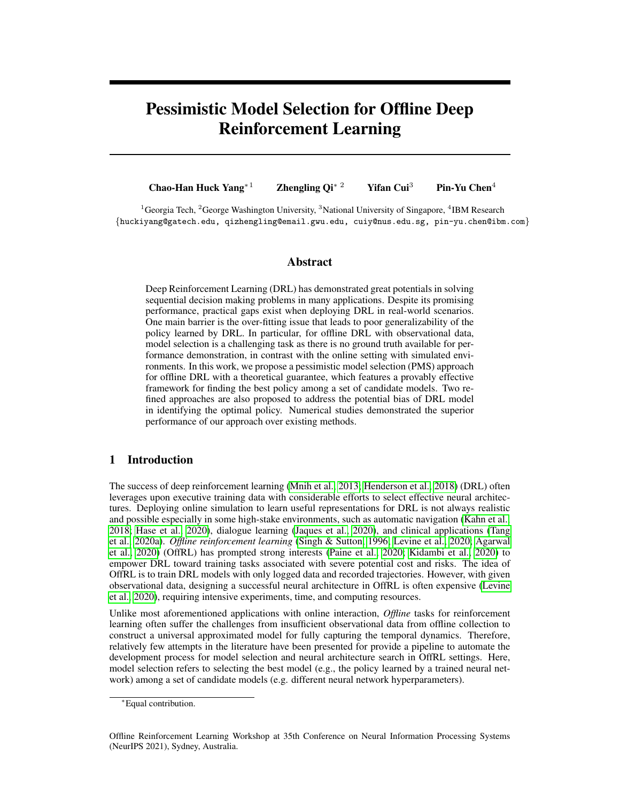Algorithm 1: Pessimistic Model Selection (PMS) for OffRL

<span id="page-6-1"></span>**Input:** Dataset  $D_n$  and L candidate models for estimating optimal Q-function and policy; We divide  $D_n$  into non-overlapping subsets denoted by  $D_1$ ,  $D_O$ . We require that for any 1  $o_1 < o_2$   $O$ , any  $(i_1, t_1) \supseteq J_{o_1}$  and  $(i_2, t_2) \supseteq J_{o_2}$ , either  $i_2 \notin i_1$  or  $t_1$   $t_2$ . 1 for  $l \nightharpoonup L$  do 2 | for  $o = 1$  *to*  $O = 1$  do 3 For  $l \geq L$  models, construct the optimal  $\widehat{Q}_l^{(o)}$  and  $\widehat{\pi}_l^{(o)}$  $\binom{0}{l}$  using  $D_o$  data subset. 4 Compute  $\widehat{\omega}_{\mu}^{\hat{\pi}_{\mu}^{(o)},\nu}$  using  $D_o$  by [Nachum et al.](#page-11-9) [\(2019\)](#page-11-9) and min-max solver for [\(3\)](#page-3-0). 5 Compute  $\hat{V}_{\mathcal{D}_{o+1}} (\hat{\pi}_{l}^{(o)})$  $\binom{1}{l}$  and  $\binom{2}{0+1}(l)$  using  $D_{o+1}$  given in [\(5\)](#page-4-0) and [\(8\)](#page-5-4) respectively. 6 | end 7 Sor *l*-th model, we compute  $U(l) = \hat{V}(\hat{\pi}_l)$   $z_{\alpha/2}\sqrt{nT(O-1)/O}\hat{\sigma}(l)$ , where  $\hat{V}(\hat{\pi}_l)$  and  $\partial(l)$  are given in [\(9\)](#page-5-5) and [\(10\)](#page-5-2) respectively. 8 end 9 Pick  $\hat{l}$  = arg max<sub>l</sub>  $U(l)$  as the selected model and run the algorithm on full dataset to obtain  $\hat{\pi}_{\hat{l}}$ .

10 **Return**  $\hat{\pi}_{\hat{l}}$ .

we try to relax this assumption and provide two remedies for addressing possibly biased estimated policies. In addition, Assumption [1](#page-5-0) also requires that the convergence rates of value functions under estimated policies are fast enough. This has been shown to hold under the margin condition on  $\pi^*$ , see e.g., [\(Hu et al., 2021\)](#page-10-16) for more details.

<span id="page-6-3"></span>**Assumption 3** *For every* 1 *l L and* 1 *o O* 1*, suppose*  $E_{(S,A)\sim p_1}j\hat{Q}_l^{(o)}(S,A)$  $Q^{\hat{\pi}_l^{(o)}}(S, A)$ <sup>2</sup> =  $O_p f(nT/O)^{-2\kappa_1} g$  for some constant  $\kappa_1$  0. In addition,  $\hat{Q}_l^{(o)}$  is uniformly *bounded almost surely.*

<span id="page-6-4"></span>**Assumption 4** *For every* 1 *l L* and 1 o O 1*, suppose*  $E_{(S,A)\sim p}$ ,  $\int_{\omega}^{\infty} \hat{\pi}_t^{(s)} \cdot \nu(S,A)$  $\omega^{\hat{\pi}_{l}^{(o)},\nu}(S,A)$ <sup>2</sup> =  $O_p f(nT/O)^{-2\kappa_2}$  *g* for some constant  $\kappa_2$  0. In addition, both  $\omega^{\hat{\pi}_{l}^{(o)},\nu}$  and  $\widehat{\omega}^{\hat{\pi}_{l}^{(o)},\nu}$  are uniformly bounded above and below away from 0 almost surely.

<span id="page-6-5"></span>**Assumption 5** For every 1 l L and 1  $^{2}(\mathbf{\hat{\pi}}_{l}^{(o)}% )^{2}=\mathbf{\hat{\pi}}_{l}^{(o)}(\mathbf{\hat{\pi}}_{l}^{(o)}% )^{2}$  $\binom{a}{l}$  and  $\binom{\partial^2}{0+1}$  ( $\binom{a}{l}$ l ) *are bounded above and below from* 0 *almost surely.*

Assumptions [3](#page-6-3) and [4](#page-6-4) impose high-level conditions on two nuisance functions. Our theoretical results only require  $\kappa_1 + \kappa_2 > 1/2$ , which is a mild assumption. For example, if considered parametric models for both Q-function and ratio function, then  $\kappa_1 = \kappa_2 = 1/2$ . If considered nonparametric models for these two nuisance functions such as deep neural networks, then  $1/4 < \kappa_1, \kappa_2 < 1/2$  can be obtained under some regularity conditions. See [Fan et al.](#page-9-8) [\(2020\)](#page-9-8) and [Liao et al.](#page-11-14) [\(2020\)](#page-11-14); [Uehara](#page-12-14) [et al.](#page-12-14) [\(2021\)](#page-12-14) for the convergence rates of Q-function and ratio function by non-parametric models respectively. In addition, Assumption [5](#page-6-5) is a mild assumption, mainly for theoretical justification. Then we have the following main theorem as a foundation of our proposed algorithm.

Theorem 1 *Under Assumptions [1-](#page-5-0)[5,](#page-6-5) we have*

<span id="page-6-6"></span><span id="page-6-2"></span><span id="page-6-0"></span>
$$
(\sqrt{nT(O-1)/O}(\hat{\mathcal{V}}(\hat{\pi}_l)-\mathcal{V}(\hat{\pi}_l)))/\hat{\sigma}(l) \Longrightarrow \mathcal{N}(0,1).
$$
 (11)

Theorem [1](#page-6-2) provides an uncertainty quantification of each candidate model used in policy optimization. Such uncertainty quantification is essential in OffRL as data are often limited. We highlight the importance of such results in Appendix [A.](#page-13-0) A consequent result following Theorem [1](#page-6-2) validates the proposed Algorithm [1:](#page-6-1)

**Corollary 1**  $\liminf_{nT \to \infty} \Pr(V(\hat{\pi}_i)$  max $_{1 \leq l \leq L} V(\hat{\pi}_l)$  2 $z_{\alpha/2} \sqrt{nT(O-1)/O}\hat{\sigma}(l)$ ) 1 La *under Assumptions [1](#page-5-0)[-5.](#page-6-5)*

As can be seen clearly from Corollary [1](#page-6-0) and the proposed PMS, with a large probability (by letting  $\alpha$  small), we consider the worst performance of each candidate model  $\hat{\pi}_l$  in the sense of the lower confidence limit of the value function, and then select the best one among all models.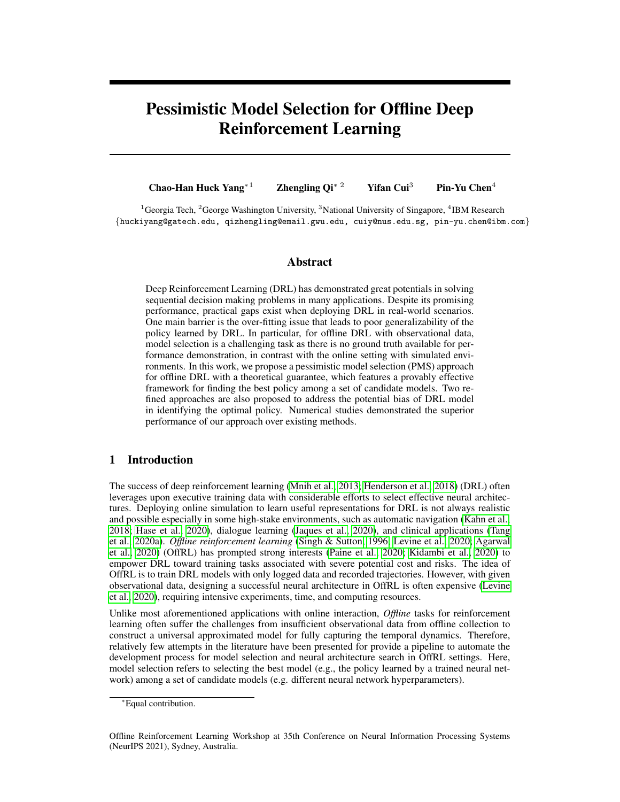#### <span id="page-7-2"></span>6 Two Refined Approaches

In this section, we relax Assumption [2](#page-5-3) by allowing possibly non-negligible bias in estimating the optimal policy and introduce two refined approaches for addressing this issue. Instead of imposing Assumption [2,](#page-5-3) we make an alternative assumption below.

**Assumption 6** For every 1 l L, there exists  $B(l)$  such that  $\max_{1 \leq o \leq (O-1)} j\vee(\hat{\pi}_{l}^{(o)})$  $\binom{O}{l}$  $V(\pi^*$  $B(l)$  *almost surely.* 

Assumption [6](#page-7-3) is a very mild assumption. It essentially states that the biases for all our intermediate value function estimates are bounded by some constant, which is much weaker than Assumption [2.](#page-5-3) In this case, the asymptotic results in [\(11\)](#page-6-6) may not hold in general. Correspondingly, we have the following result.

Theorem 2 *Under Assumptions [1,](#page-5-0) [3-](#page-6-3)[6,](#page-7-3) for every* 1 l L*, the following inequality holds.*

<span id="page-7-5"></span><span id="page-7-4"></span><span id="page-7-3"></span>
$$
\liminf_{nT \to \infty} \Pr\left( |\mathcal{V}(\pi^*) - \hat{\mathcal{V}}(\hat{\pi}_l)| \le z_{\alpha/2} \sqrt{O/nT(O-1)}\hat{\sigma}(l) + B(l) \right) \ge 1 - \alpha.
$$
 (12)

Motivated by Lepski's principle [\(Lepski & Spokoiny, 1997\)](#page-11-15) from nonparametric statistics and [\(Su](#page-12-4) [et al., 2020\)](#page-12-4) studying the model selection of OPE, we consider the following refined model-selection procedure to find the best policy. We first rank L candidate models in an non-increasing order based on the value of  $\hat{\sigma}(l)$ , i.e., for  $1 \quad i < j \quad L$ ,  $\hat{\sigma}(i) \quad \hat{\sigma}(j)$ . Then for *i*-th model, we construct an interval as  $I(l) = [\hat{V}(\hat{\pi}_l) \quad 2z_{\alpha/(2L)}\sqrt{O/nT(O-1)}\hat{\sigma}(l), \hat{V}(\hat{\pi}_l) + 2z_{\alpha/(2L)}\sqrt{O/nT(O-1)}\hat{\sigma}(l)].$ Finally the optimal model/policy we choose is  $\hat{\pi}$ <sub>i</sub> such that  $\hat{i} = \max \hat{\pi} : 1 \quad i \quad L, \ \iota_{1 \leq j \leq i}I(j) \neq j$  $\mathcal{G}$ . To show this procedure is valid, we need to make one additional assumption.

**Assumption 7** *There exists a*  $\zeta$  < 1 *such that for* 1 *i* L,  $B(i)$   $B(i + 1)$  *and*  $\zeta \partial(i)$  $\hat{\sigma}(i + 1)$   $\hat{\sigma}(i)$  *almost surely.* 

This assumption is borrowed from [Su et al.](#page-12-4) [\(2020\)](#page-12-4). It typically assumes that after sorting our model based on  $\hat{\sigma}(l)$ , the bias of estimated policy is monotonically increasing and the standard deviation is monotonically deceasing but not too quickly. This is commonly seen when all candidate estimators exhibit some bias-variance trade-off phenomena. Define the following event

<span id="page-7-1"></span>
$$
E = j\hat{V}(\hat{\pi}_i) \quad V(\pi^*)j \quad 6(1+\zeta^{-1}) \min_{1 \le i \le L} f(t) + z_{\alpha/(2L)}\sqrt{O/nT(O-1)}\hat{\sigma}(i)g. \tag{13}
$$

Then we have the following theoretical guarantee for our refined procedure.

Corollary 2 *Under Assumptions [1,](#page-5-0) [3-](#page-6-3)[7,](#page-7-4) we have* lim inf  $int_{nT\to\infty}$   $\alpha$   $\alpha$   $\alpha$   $\alpha$   $\beta$   $\rightarrow$   $\beta$ , with probability at least 1  $\alpha$   $\delta$ , for every 1 i  $\alpha$   $L$ ,  $j\vee(\hat{\pi}_i)$   $\hat{\vee}(\hat{\pi}_i)$ 1  $\alpha$ *. If we further assume*  $c(\delta)$  log $(L)\delta(i)/$ p  $NT$  *for some constant*  $c(\delta)$ *, then*  $\lim_{nT \to \infty} \Pr(E)$  1  $\alpha$   $\delta$ *, where* 

$$
\mathcal{E} = |\mathcal{V}(\hat{\pi}_i) - \mathcal{V}(\pi^*)| \le 3(1 + \zeta^{-1}) \min_{1 \le i \le L} \{ B(i) + (c(\delta) \log(L) + z_{\alpha/(2L)}) \sqrt{O/nT(O-1)} \hat{\sigma}(i) \}. \tag{14}
$$

The additional assumption (i.e., the high probability bound) in Corollary [2](#page-7-1) can be shown to hold by the empirical process theory under some technical conditions [\(Van de Geer, 2000\)](#page-12-15). Hence Corollary [2](#page-7-1) provides a strong guarantee that the regret of the final selected policy is bounded by the smallest error bound among all L candidate policies. Note that Assumption [3](#page-6-3) imposed here could be strong.

Another refined approach: Notice that the above refined approach indeed focuses on OPE estimates to select the best policy with regret warranty. The rough motivation behind is to find a policy that has the smallest estimation error to the optimal one. However, such procedure may not directly match the goal of maximizing the value function in OffRL. To relieve this issue , we can alternatively choose the final policy as  $\hat{\pi}^{\hat{i}}_{\hat{i}}$  such that  $\hat{i}$  = argmax $_{1\leq i\leq\hat{i}}\hat{V}(\hat{\pi}_i)$  2 $z_{\alpha/2}\sqrt{nT(O-1)/O}\hat{\sigma}(i)$ , where the argmax is taken over  $\hat{i}$  models. This approach can be viewed as a combination of PMS and the above refined approach. By adopting this approach, candidate models with large biases are firtly removed by the truncation on  $\hat{i}$ . Then, we use the idea of PMS to select the best model having the best worst performance among the remaining candidates. Unfortunately, we do not have theoretical guarantee for this combined approach.

## <span id="page-7-0"></span>7 Experimental Results

We select six DQN environments ( $E_1$  to  $E_6$ ) from open-source benchmarks [\(Brockman et al., 2016;](#page-9-9) [Juliani et al., 2018\)](#page-10-17) to conduct numerical experiments, as shown in Fig. [5](#page-18-1) of Appendix [C.](#page-18-0) These tasks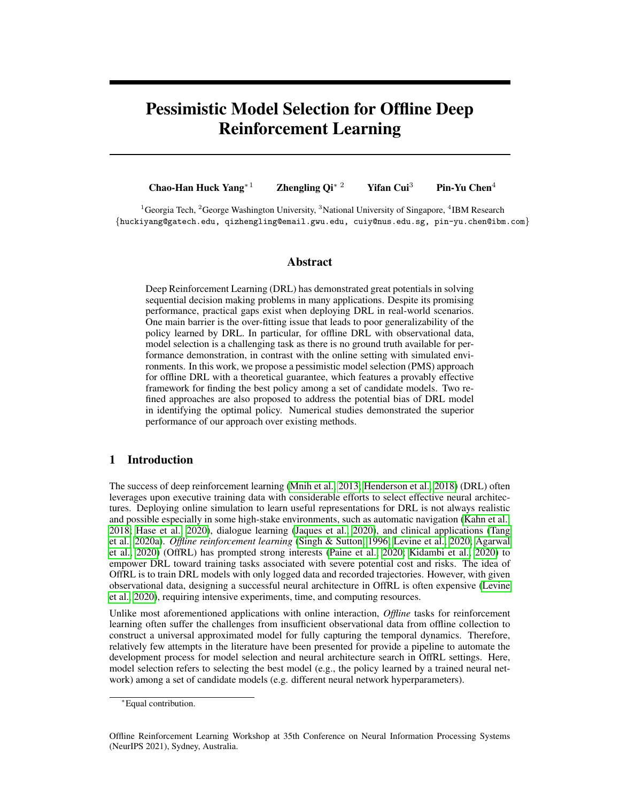<span id="page-8-0"></span>



Figure 2: Box plots of model selection performance data size. PMS attains the best performance and has from offline learning in each DRL algorithms for  $E_2$ . the least sensitivity.

Figure 3: Sensitivity analysis for different training

of deployed environments cover different domains that include tabular learning (Fig  $5(a)$ ); automatic navigation in a geometry environment with a physical ray-tracker (Fig [5\(](#page-18-1)b)); Atari digital gaming (Fig [5\(](#page-18-1)c) and (d)), and continuous control (Fig [5\(](#page-18-1)e) and (f)). We provide detailed task description and targeted reward for each environment in Appendix [C.](#page-18-0)

Experiment setups. To evaluate the performance of PMS with DQN models in offRL, we choose different neural network architectures under five competitive DRL algorithms including DQN by [\(Mnih et al., 2013,](#page-11-0) [2015\)](#page-11-3), BCQ by [\(Fujimoto et al., 2019\)](#page-10-9), BC by [\(Bain & Sammut, 1995;](#page-9-5) [Ross &](#page-11-6) [Bagnell, 2010\)](#page-11-6), BRAC by [\(Wu et al., 2019\)](#page-12-7) from RLU benchmarks, and REM by [\(Agarwal et al.,](#page-9-0) [2020\)](#page-9-0). Within each architecture, 70 candidate models are created by assigning different hyperparameters and training setups. See Appendix [C.1](#page-20-0) for details. We then conduct performance evaluation of different OffRL model selection methods on these generated candidate models.

Evaluation procedure. We utilize validation scores from OPE for each model selection algorithm, which picks the best (or a good) policy from the candidate set of size  $L$  based on its own criterion. Regret is used as the evaluation metric for each candidate. The regret for model  $l$  is defined as  $V(\pi_l)$   $V(\hat{\pi}_l)$ , where  $l^* = \arg \max_{l^0=1...L} V(\pi_{l^0})$  corresponds to the candidate policy with the best OPE validation performance. In our implementation, we treat  $\pi_l$  as  $\pi^*$ , the oracle but unknown best possible policy. A small regret is desirable after model selection. Note the optimal regret is not zero since we can only use data to obtain  $\hat{\pi}_l$  instead of  $\pi_l$  for each model. We provide additional top-k regret and precision results from Figure [6](#page-18-2) to [16](#page-20-1) in Appendix [C.](#page-18-0)

**Performance comparison.** As highlighted in Fig. [1](#page-1-0) in the introduction, we report estimated OPE values by different model selection approaches, i.e. PMS and three methods by [\(Tang & Wiens,](#page-12-3) [2021\)](#page-12-3), versus the true OPE values. In this experiment, we consider 70 DQN models under the above mentioned five DRL algorithms, i.e., 14 models are considered for each architecture. We use fewer models for each DRL algorithm mainly for clear presentation. By using the confidence interval constructed by our PMS procedure, our method is able to correctly select the top models, while the other three methods fail. To further investigate the performance of PMS, we implement model selection among 70 models within each DRL algorithm separately. Fig. [2](#page-8-0) shows the box plots of averaged regret over six environments after OPE per neural network architecture. Each subfigure contains results from one particular DRL algorithm with different hyperparameters or training setups. The left box plot refers to the regrets of all 70 models and the right one represents the regrets of top 10% models selected by the proposed PMS method. Note that the right box plot is a subset of the left one. The results show that our proposed PMS successfully helps to select models with the best policies and improve the average regret by a significant margin. In particular, PMS-REM-based models attain the lowest regrets, due to the benefit from its ensemble process. Detailed results for each environment is given in Appendix [C,](#page-18-0) where  $\alpha = 0.01$  and  $\dot{O} = 20$  are used in all experiments.

Sensitivity analysis. Fig. [3](#page-8-0) compares different selection algorithms with varying training data size. PMS outperforms others across all scales, and larger number of episodes gives smaller variation and lower sensitivity.

<span id="page-8-1"></span>

PMS algorithm with refinements. We replicate our experiments on in the offline navigation task in  $E_2$  (*Banana Collector*) for 30 times and report regrets of top 10% models selected by PMS and two refinements in Fig. [4.](#page-8-1) As we can see, while the overall per-

Figure 4: PMS and its refinements (R1/R2).

formances of the proposed three model selection methods are similar, two refined approaches have better regrets than PMS in terms of median, demonstrating their promising performances in identifying the best model. OPE results have been also evaluated also in DRL tasks with  $\mathbf{E}_1$  and  $\mathbf{E}_3$  to  $\mathbf{E}_6$ ,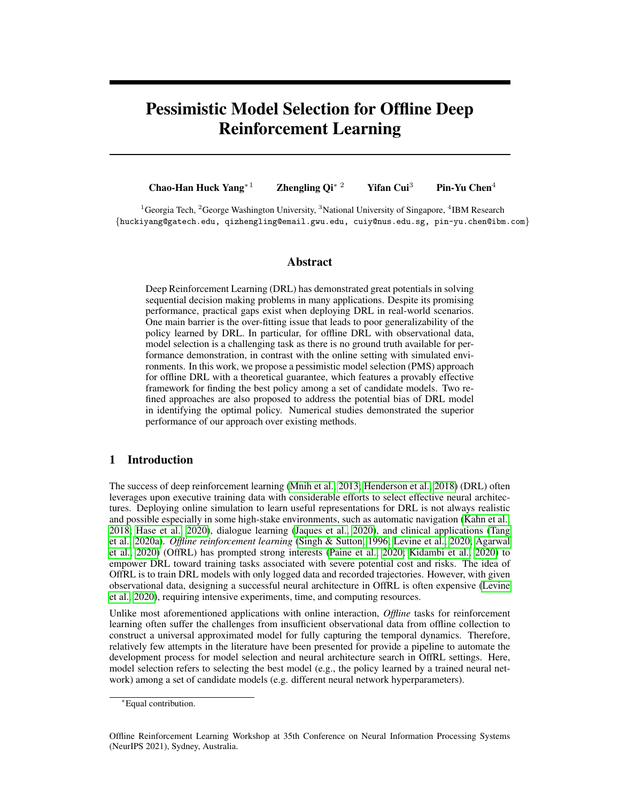where the refinement algorithms (PMS R1/R2) have only a small relative  $0.423\%$  performance difference compared to its original PMS setups.

## 8 Conclusion

We propose a new theory-driven model selection framework (PMS) for offline deep reinforcement learning based on statistical inference. The proposed pessimistic mechanism is warrants that the worst performance of the selected model is the best among all candidate models. Two refined approaches are further proposed to address the biases of DRL models. Extensive experimental results on six DQN environments with various network architectures and training hyperparameters demonstrate that our proposed PMS method consistently yields improved model selection performance over existing baselines. The results suggest the effectiveness of PMS as a powerful tool toward automating model selection in offline DRL.

#### **References**

- <span id="page-9-2"></span>Yasin Abbasi-Yadkori, Dávid Pál, and Csaba Szepesvári. Improved algorithms for linear stochastic bandits. *Advances in neural information processing systems*, 24:2312–2320, 2011.
- <span id="page-9-0"></span>Rishabh Agarwal, Dale Schuurmans, and Mohammad Norouzi. An optimistic perspective on offline reinforcement learning. In *International Conference on Machine Learning*, pp. 104–114. PMLR, 2020.
- <span id="page-9-5"></span>Michael Bain and Claude Sammut. A framework for behavioural cloning. In *Machine Intelligence 15*, pp. 103–129, 1995.
- <span id="page-9-11"></span>Gabriel Barth-Maron, Matthew W Hoffman, David Budden, Will Dabney, Dan Horgan, TB Dhruva, Alistair Muldal, Nicolas Heess, and Timothy Lillicrap. Distributed distributional deterministic policy gradients. In *International Conference on Learning Representations*, 2018.
- <span id="page-9-12"></span>Andrew Bennett and Nathan Kallus. Proximal reinforcement learning: Efficient off-policy evaluation in partially observed markov decision processes. *arXiv preprint arXiv:2110.15332*, 2021.
- <span id="page-9-9"></span>Greg Brockman, Vicki Cheung, Ludwig Pettersson, Jonas Schneider, John Schulman, Jie Tang, and Wojciech Zaremba. Openai gym. *arXiv preprint arXiv:1606.01540*, 2016.
- <span id="page-9-13"></span>Xiaocong Chen, Lina Yao, Julian McAuley, Guanglin Zhou, and Xianzhi Wang. A survey of deep reinforcement learning in recommender systems: A systematic review and future directions. *arXiv preprint arXiv:2109.03540*, 2021.
- <span id="page-9-3"></span>Wei Chu, Lihong Li, Lev Reyzin, and Robert Schapire. Contextual bandits with linear payoff functions. In *Proceedings of the Fourteenth International Conference on Artificial Intelligence and Statistics*, pp. 208–214. JMLR Workshop and Conference Proceedings, 2011.
- <span id="page-9-6"></span>Will Dabney, Mark Rowland, Marc Bellemare, and Remi Munos. Distributional reinforcement ´ learning with quantile regression. In *Proceedings of the AAAI Conference on Artificial Intelligence*, volume 32, 2018.
- <span id="page-9-7"></span>Damien Ernst, Pierre Geurts, Louis Wehenkel, and L. Littman. Tree-based batch mode reinforcement learning. *Journal of Machine Learning Research*, 6:503–556, 2005.
- <span id="page-9-8"></span>Jianqing Fan, Zhaoran Wang, Yuchen Xie, and Zhuoran Yang. A theoretical analysis of deep qlearning. In *Learning for Dynamics and Control*, pp. 486–489. PMLR, 2020.
- <span id="page-9-4"></span>Amir-massoud Farahmand and Csaba Szepesvári. Model selection in reinforcement learning. Ma*chine learning*, 85(3):299–332, 2011.
- <span id="page-9-1"></span>M Fard and Joelle Pineau. Pac-bayesian model selection for reinforcement learning. *Advances in Neural Information Processing Systems*, 23:1624–1632, 2010.
- <span id="page-9-10"></span>David A Freedman. On tail probabilities for martingales. *the Annals of Probability*, pp. 100–118, 1975.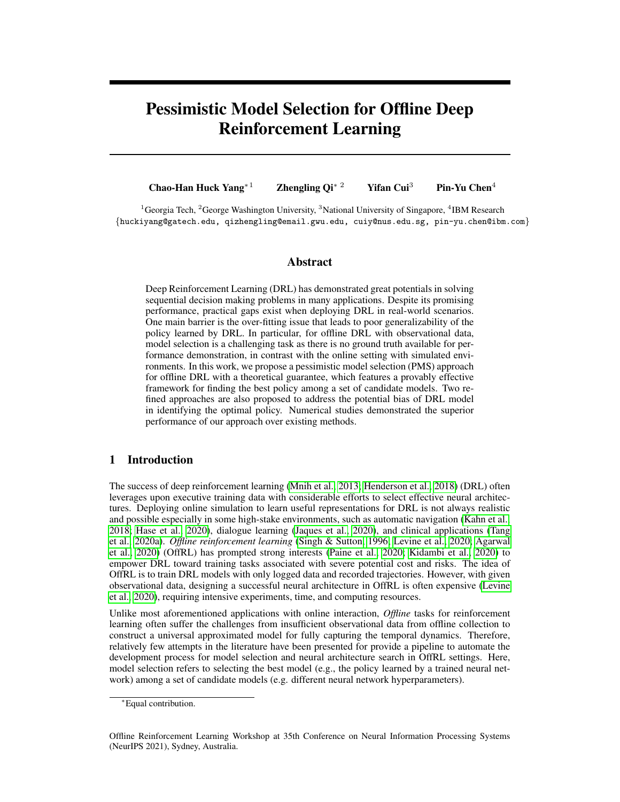- <span id="page-10-9"></span>Scott Fujimoto, David Meger, and Doina Precup. Off-policy deep reinforcement learning without exploration. In *International Conference on Machine Learning*, pp. 2052–2062. PMLR, 2019.
- <span id="page-10-5"></span>Omer Gottesman, Fredrik Johansson, Joshua Meier, Jack Dent, Donghun Lee, Srivatsan Srinivasan, Linying Zhang, Yi Ding, David Wihl, Xuefeng Peng, et al. Evaluating reinforcement learning algorithms in observational health settings. *arXiv preprint arXiv:1805.12298*, 2018.
- <span id="page-10-10"></span>Caglar Gulcehre, Ziyu Wang, Alexander Novikov, Tom Le Paine, Sergio Gomez Colmenarejo, Konrad Zolna, Rishabh Agarwal, Josh Merel, Daniel Mankowitz, Cosmin Paduraru, et al. Rl unplugged: Benchmarks for offline reinforcement learning. *arXiv e-prints*, pp. arXiv–2006, 2020.
- <span id="page-10-2"></span>Hannes Hase, Mohammad Farid Azampour, Maria Tirindelli, Magdalini Paschali, Walter Simson, Emad Fatemizadeh, and Nassir Navab. Ultrasound-guided robotic navigation with deep reinforcement learning. In *2020 IEEE/RSJ International Conference on Intelligent Robots and Systems (IROS)*, pp. 5534–5541. IEEE, 2020.
- <span id="page-10-0"></span>Peter Henderson, Riashat Islam, Philip Bachman, Joelle Pineau, Doina Precup, and David Meger. Deep reinforcement learning that matters. In *Proceedings of the AAAI conference on artificial intelligence*, volume 32, 2018.
- <span id="page-10-16"></span>Yichun Hu, Nathan Kallus, and Masatoshi Uehara. Fast rates for the regret of offline reinforcement learning. *arXiv preprint arXiv:2102.00479*, 2021.
- <span id="page-10-3"></span>Natasha Jaques, Judy Hanwen Shen, Asma Ghandeharioun, Craig Ferguson, Agata Lapedriza, Noah Jones, Shixiang Gu, and Rosalind Picard. Human-centric dialog training via offline reinforcement learning. In *Proceedings of the 2020 Conference on Empirical Methods in Natural Language Processing (EMNLP)*, pp. 3985–4003, 2020.
- <span id="page-10-12"></span>Nan Jiang and Lihong Li. Doubly robust off-policy value evaluation for reinforcement learning. *arXiv preprint arXiv:1511.03722*, 2015.
- <span id="page-10-15"></span>Ying Jin, Zhuoran Yang, and Zhaoran Wang. Is pessimism provably efficient for offline rl? In *International Conference on Machine Learning*, pp. 5084–5096. PMLR, 2021.
- <span id="page-10-17"></span>Arthur Juliani, Vincent-Pierre Berges, Ervin Teng, Andrew Cohen, Jonathan Harper, Chris Elion, Chris Goy, Yuan Gao, Hunter Henry, Marwan Mattar, et al. Unity: A general platform for intelligent agents. *arXiv preprint arXiv:1809.02627*, 2018.
- <span id="page-10-1"></span>Gregory Kahn, Adam Villaflor, Bosen Ding, Pieter Abbeel, and Sergey Levine. Self-supervised deep reinforcement learning with generalized computation graphs for robot navigation. In *2018 IEEE International Conference on Robotics and Automation (ICRA)*, pp. 5129–5136. IEEE, 2018.
- <span id="page-10-11"></span>Nathan Kallus and Masatoshi Uehara. Efficiently breaking the curse of horizon: Double reinforcement learning in infinite-horizon processes. *arXiv preprint arXiv:1909.05850*, 2019.
- <span id="page-10-4"></span>Rahul Kidambi, Aravind Rajeswaran, Praneeth Netrapalli, and Thorsten Joachims. Morel: Modelbased offline reinforcement learning. In *NeurIPS*, 2020.
- <span id="page-10-13"></span>Aviral Kumar, Justin Fu, Matthew Soh, George Tucker, and Sergey Levine. Stabilizing off-policy q-learning via bootstrapping error reduction. In *Advances in Neural Information Processing Systems*, pp. 11784–11794, 2019.
- <span id="page-10-14"></span>Aviral Kumar, Aurick Zhou, George Tucker, and Sergey Levine. Conservative q-learning for offline reinforcement learning. *arXiv preprint arXiv:2006.04779*, 2020.
- <span id="page-10-8"></span>Ilja Kuzborskij, Claire Vernade, Andras Gyorgy, and Csaba Szepesvari. Confident off-policy eval- ´ uation and selection through self-normalized importance weighting. In *International Conference on Artificial Intelligence and Statistics*, pp. 640–648. PMLR, 2021.
- <span id="page-10-6"></span>Hoang Le, Cameron Voloshin, and Yisong Yue. Batch policy learning under constraints. In *International Conference on Machine Learning*, pp. 3703–3712, 2019.
- <span id="page-10-7"></span>Jason D Lee and Jonathan E Taylor. Exact post model selection inference for marginal screening. In *Proceedings of the 27th International Conference on Neural Information Processing Systems-Volume 1*, pp. 136–144, 2014.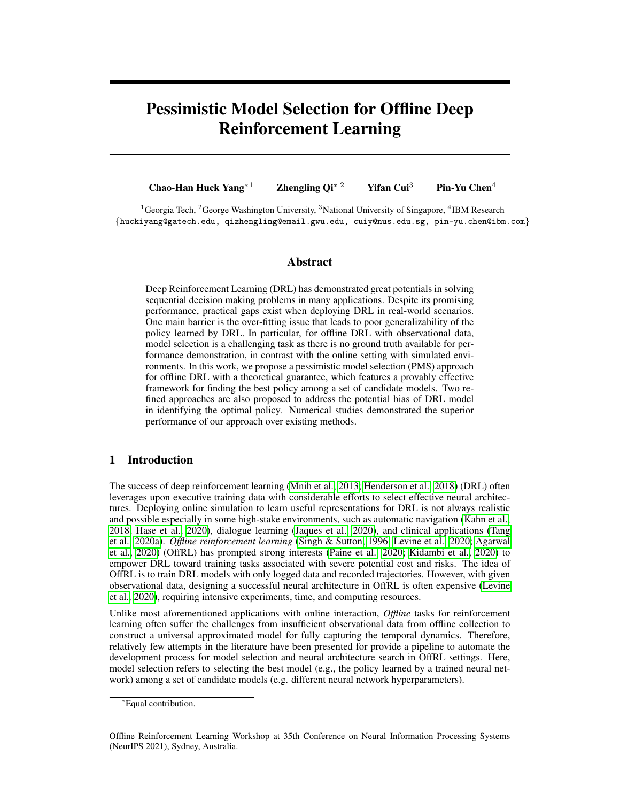- <span id="page-11-5"></span>Jonathan Lee, Aldo Pacchiano, Vidya Muthukumar, Weihao Kong, and Emma Brunskill. Online model selection for reinforcement learning with function approximation. In *International Conference on Artificial Intelligence and Statistics*, pp. 3340–3348. PMLR, 2021.
- <span id="page-11-15"></span>Oleg V Lepski and Vladimir G Spokoiny. Optimal pointwise adaptive methods in nonparametric estimation. *The Annals of Statistics*, pp. 2512–2546, 1997.
- <span id="page-11-1"></span>Sergey Levine, Aviral Kumar, George Tucker, and Justin Fu. Offline reinforcement learning: Tutorial, review, and perspectives on open problems. *arXiv preprint arXiv:2005.01643*, 2020.
- <span id="page-11-14"></span>Peng Liao, Zhengling Qi, and Susan Murphy. Batch policy learning in average reward markov decision processes. *arXiv preprint arXiv:2007.11771*, 2020.
- <span id="page-11-8"></span>Qiang Liu, Lihong Li, Ziyang Tang, and Dengyong Zhou. Breaking the curse of horizon: Infinitehorizon off-policy estimation. In *Advances in Neural Information Processing Systems*, pp. 5356– 5366, 2018.
- <span id="page-11-12"></span>Alexander R Luedtke and Mark J Van Der Laan. Statistical inference for the mean outcome under a possibly non-unique optimal treatment strategy. *Annals of statistics*, 44(2):713, 2016.
- <span id="page-11-17"></span>Peter Mathé. The lepskii principle revisited. *Inverse problems*, 22(3):L11, 2006.
- <span id="page-11-16"></span>Donald L McLeish. Dependent central limit theorems and invariance principles. *the Annals of Probability*, 2(4):620–628, 1974.
- <span id="page-11-0"></span>Volodymyr Mnih, Koray Kavukcuoglu, David Silver, Alex Graves, Ioannis Antonoglou, Daan Wierstra, and Martin Riedmiller. Playing atari with deep reinforcement learning. *arXiv preprint arXiv:1312.5602*, 2013.
- <span id="page-11-3"></span>Volodymyr Mnih, Koray Kavukcuoglu, David Silver, Andrei A Rusu, Joel Veness, Marc G Bellemare, Alex Graves, Martin Riedmiller, Andreas K Fidjeland, Georg Ostrovski, et al. Human-level control through deep reinforcement learning. *nature*, 518(7540):529–533, 2015.
- <span id="page-11-9"></span>Ofir Nachum, Yinlam Chow, Bo Dai, and Lihong Li. Dualdice: Behavior-agnostic estimation of discounted stationary distribution corrections. In *Advances in Neural Information Processing Systems*, pp. 2315–2325, 2019.
- <span id="page-11-4"></span>Aldo Pacchiano, Philip Ball, Jack Parker-Holder, Krzysztof Choromanski, and Stephen Roberts. On optimism in model-based reinforcement learning. *arXiv preprint arXiv:2006.11911*, 2020.
- <span id="page-11-2"></span>Tom Le Paine, Cosmin Paduraru, Andrea Michi, Caglar Gulcehre, Konrad Zolna, Alexander Novikov, Ziyu Wang, and Nando de Freitas. Hyperparameter selection for offline reinforcement learning. *arXiv preprint arXiv:2007.09055*, 2020.
- <span id="page-11-10"></span>Doina Precup. Eligibility traces for off-policy policy evaluation. *Computer Science Department Faculty Publication Series*, pp. 80, 2000.
- <span id="page-11-7"></span>Martin L Puterman. *Markov Decision Processes: Discrete Stochastic Dynamic Programming*. John Wiley & Sons, Inc., 1994.
- <span id="page-11-11"></span>James M. Robins, Andrea Rotnitzky, and Lue Ping Zhao. Estimation of regression coefficients when some regressors are not always observed. *Journal of the American Statistical Association*, 89(427):846–866, 1994. ISSN 01621459. URL <http://www.jstor.org/stable/2290910>.
- <span id="page-11-6"></span>Stéphane Ross and Drew Bagnell. Efficient reductions for imitation learning. In *Proceedings of the thirteenth international conference on artificial intelligence and statistics*, pp. 661–668. JMLR Workshop and Conference Proceedings, 2010.
- <span id="page-11-18"></span>Tom Schaul, John Quan, Ioannis Antonoglou, and David Silver. Prioritized experience replay. *arXiv preprint arXiv:1511.05952*, 2015.
- <span id="page-11-13"></span>Chengchun Shi, Sheng Zhang, Wenbin Lu, and Rui Song. Statistical inference of the value function for reinforcement learning in infinite horizon settings. *arXiv preprint arXiv:2001.04515*, 2020.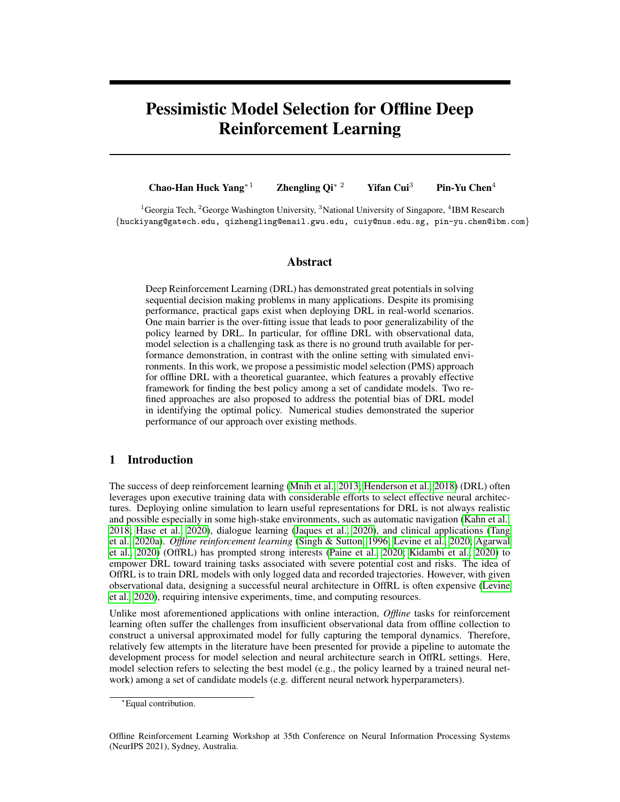- <span id="page-12-17"></span>Noah Siegel, Jost Tobias Springenberg, Felix Berkenkamp, Abbas Abdolmaleki, Michael Neunert, Thomas Lampe, Roland Hafner, Nicolas Heess, and Martin Riedmiller. Keep doing what worked: Behavior modelling priors for offline reinforcement learning. In *International Conference on Learning Representations*, 2019.
- <span id="page-12-1"></span>Satinder P Singh and Richard S Sutton. Reinforcement learning with replacing eligibility traces. *Machine learning*, 22(1):123–158, 1996.
- <span id="page-12-4"></span>Yi Su, Pavithra Srinath, and Akshay Krishnamurthy. Adaptive estimator selection for off-policy evaluation. In *International Conference on Machine Learning*, pp. 9196–9205. PMLR, 2020.
- <span id="page-12-3"></span>Shengpu Tang and Jenna Wiens. Model selection for offline reinforcement learning: Practical considerations for healthcare settings. *arXiv preprint arXiv:2107.11003*, 2021.
- <span id="page-12-0"></span>Shengpu Tang, Aditya Modi, Michael Sjoding, and Jenna Wiens. Clinician-in-the-loop decision making: Reinforcement learning with near-optimal set-valued policies. In *International Conference on Machine Learning*, pp. 9387–9396. PMLR, 2020a.
- <span id="page-12-9"></span>Ziyang Tang, Yihao Feng, Lihong Li, Dengyong Zhou, and Qiang Liu. Doubly robust bias reduction in infinite horizon off-policy estimation. In *International Conference on Learning Representations*, 2020b.
- <span id="page-12-8"></span>Masatoshi Uehara and Nan Jiang. Minimax weight and q-function learning for off-policy evaluation. *arXiv preprint arXiv:1910.12809*, 2019.
- <span id="page-12-12"></span>Masatoshi Uehara and Wen Sun. Pessimistic model-based offline rl: Pac bounds and posterior sampling under partial coverage. *arXiv preprint arXiv:2107.06226*, 2021.
- <span id="page-12-14"></span>Masatoshi Uehara, Masaaki Imaizumi, Nan Jiang, Nathan Kallus, Wen Sun, and Tengyang Xie. Finite sample analysis of minimax offline reinforcement learning: Completeness, fast rates and first-order efficiency. *arXiv preprint arXiv:2102.02981*, 2021.
- <span id="page-12-15"></span>Sara Van de Geer. *Empirical Processes in M-estimation*, volume 6. Cambridge university press, 2000.
- <span id="page-12-16"></span>Hado Van Hasselt, Arthur Guez, and David Silver. Deep reinforcement learning with double qlearning. In *Proceedings of the AAAI conference on artificial intelligence*, volume 30, 2016.
- <span id="page-12-2"></span>Cameron Voloshin, Hoang M Le, Nan Jiang, and Yisong Yue. Empirical study of off-policy policy evaluation for reinforcement learning. *arXiv preprint arXiv:1911.06854*, 2019.
- <span id="page-12-7"></span>Yifan Wu, George Tucker, and Ofir Nachum. Behavior regularized offline reinforcement learning. *arXiv preprint arXiv:1911.11361*, 2019.
- <span id="page-12-6"></span>Tengyang Xie and Nan Jiang. Batch value-function approximation with only realizability. In *International Conference on Machine Learning*, pp. 11404–11413. PMLR, 2021.
- <span id="page-12-11"></span>Tengyang Xie, Ching-An Cheng, Nan Jiang, Paul Mineiro, and Alekh Agarwal. Bellman-consistent pessimism for offline reinforcement learning. *arXiv preprint arXiv:2106.06926*, 2021.
- <span id="page-12-19"></span>Chao-Han Huck Yang, Jun Qi, Pin-Yu Chen, Yi Ouyang, I-Te Danny Hung, Chin-Hui Lee, and Xiaoli Ma. Enhanced adversarial strategically-timed attacks against deep reinforcement learning. In *ICASSP 2020-2020 IEEE International Conference on Acoustics, Speech and Signal Processing (ICASSP)*, pp. 3407–3411. IEEE, 2020a.
- <span id="page-12-18"></span>Chao-Han Huck Yang, I Hung, Te Danny, Yi Ouyang, and Pin-Yu Chen. Causal inference q-network: Toward resilient reinforcement learning. *arXiv preprint arXiv:2102.09677*, 2021.
- <span id="page-12-5"></span>Mengjiao Yang, Bo Dai, Ofir Nachum, George Tucker, and Dale Schuurmans. Offline policy selection under uncertainty. *arXiv preprint arXiv:2012.06919*, 2020b.
- <span id="page-12-10"></span>Tianhe Yu, Garrett Thomas, Lantao Yu, Stefano Ermon, James Zou, Sergey Levine, Chelsea Finn, and Tengyu Ma. Mopo: Model-based offline policy optimization. *arXiv preprint arXiv:2005.13239*, 2020.
- <span id="page-12-13"></span>Andrea Zanette, Martin J Wainwright, and Emma Brunskill. Provable benefits of actor-critic methods for offline reinforcement learning. *arXiv preprint arXiv:2108.08812*, 2021.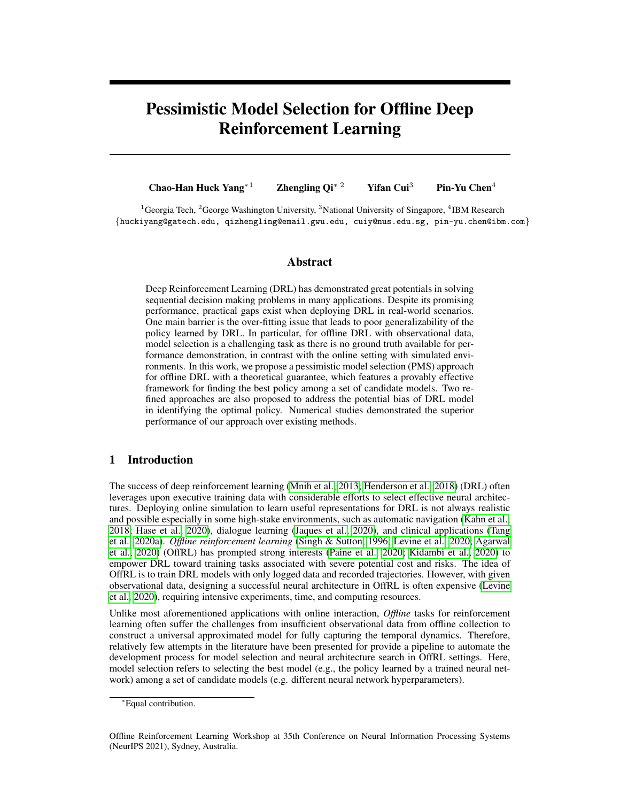## <span id="page-13-0"></span>A Comments on Asymptotic Results

We remark here that all theoretical justification in this paper is based on asymptotics. It might be possible to investigate finite sample regimes when one has an exact confidence interval instead of [\(11\)](#page-6-6) or a non-asymptotic bound. However, having an exact confidence interval might require some model specification of the value function, and using non-asymptotic bounds might require additional tuning steps (e.g., constants in many concentration inequalities), which is beyond the scope of this paper. In addition, as seen from our empirical evaluations below, with a relatively large sample size, the proposed model selection approach performs well.

## B Technical Proofs

*Notations*: The notation  $\xi(N)$ .  $\theta(N)$  (resp.  $\xi(N) \& \theta(N)$ ) means that there exists a sufficiently large (resp. small) constant  $c_1 > 0$  (resp.  $c_2 > 0$ ) such that  $\xi(N) = c_1 \theta(N)$  (resp.  $\xi(N) = c_2 \theta(N)$ ) for some sequences  $\theta(N)$  and  $\xi(N)$  related to N. In the following proofs, N often refers to some quantity related to n and T.

**Lemma [1](#page-13-1) and its proof** : Let J denotes some index of our batch data  $D_n$ . Define

$$
\phi(J, Q^{\pi}, \omega^{\pi, \nu}, \pi) = \frac{1}{jJj} \sum_{(i,t) \in J} \omega^{\pi, \nu}(S_{i,t}, A_t) \left( R_{i,t} + \gamma \sum_{a^0 \in \mathcal{A}} \pi(a^{\prime} j S_{i,t+1}) Q^{\pi}(S_{i,t+1}, a^{\prime}) - Q^{\pi}(S_{i,t}, A_{i,t}) \right),
$$

where  $jJj$  is the cardinality of the index set J, e.g.,  $jJ_oj = \frac{nT}{O}$  for every 1 o O. Then we have the following Lemma [1](#page-13-1) as an intermediate result to Theorem [1.](#page-6-2)

Lemma 1 *Under Assumptions [1](#page-5-0) and [3](#page-6-3)[-5,](#page-6-5) for every* 1 l L *and* 1 o O 1*, the following asymptotic equivalence holds.*

<span id="page-13-1"></span>
$$
\sqrt{\frac{nT}{O}} \left\{ \hat{V}_{D_{o+1}}(\hat{\pi}_l^{(o)}) \quad V(\hat{\pi}_l^{(o)}) \right\} = \sqrt{\frac{nT}{O}} \phi(J, Q^{\hat{\pi}^{(o)}}, \omega^{\hat{\pi}_l^{(o)}, \nu}, \hat{\pi}_l^{(o)}) + o_p(1), \tag{15}
$$

*where*  $o_p(1)$  *refers to a quantity that converges to* 0 *as n or T goes to infinity.* 

The proof is similar to that of Theorem 7 in [Kallus & Uehara](#page-10-11) [\(2019\)](#page-10-11). First, notice that

$$
\sqrt{\frac{nT}{O}} \left\{ \sqrt[n]{p_{o+1}(\hat{\pi}_{l}^{(o)})} \sqrt[n]{\hat{\pi}_{l}^{(o)}} \right\}
$$
\n
$$
= \sqrt{\frac{nT}{O}} \left\{ \phi(J, \hat{Q}^{\hat{\pi}^{(o)}, \hat{\omega}} , \hat{\omega}^{\hat{\pi}_{l}^{(o)}, \nu}, \hat{\pi}_{l}^{(o)}) \phi(J, Q^{\hat{\pi}^{(o)}, \nu}, \hat{\pi}_{l}^{(o)}) \right\}
$$
\n
$$
+ (1 - \gamma) \mathbb{E}_{S_{0} \sim \nu} \left[ \sum_{a \in \mathcal{A}} \hat{\pi}_{l}^{(o)}(a/S_{0}) Q^{\hat{\pi}_{l}^{(o)}}(S_{0}, a) \right] (1 - \gamma) \mathbb{E}_{S_{0} \sim \nu} \left[ \sum_{a \in \mathcal{A}} \hat{\pi}_{l}^{(o)}(a/S_{0}) Q^{\hat{\pi}_{l}^{(o)}}(S_{0}, a) \right] \right\}
$$
\n
$$
+ \sqrt{\frac{nT}{O}} \phi(J, Q^{\hat{\pi}^{(o)}, \omega^{\hat{\pi}_{l}^{(o)}, \nu}, \hat{\pi}_{l}^{(o)}) .
$$

Then it suffices to show the term in the first bracket converges to 0 faster than  $nT$ . Notice that

$$
\begin{aligned}\n&\left\{\phi(J,\widehat{Q}^{\hat{\pi}^{(o)}},\widehat{\omega}^{\hat{\pi}_{l}^{(o)},\nu},\widehat{\pi}_{l}^{(o)}) - \phi(J,Q^{\hat{\pi}^{(o)}},\omega^{\hat{\pi}_{l}^{(o)},\nu},\widehat{\pi}_{l}^{(o)})\right. \\
&+ (1-\gamma)\mathbb{E}_{S_{0}\sim\nu}[\sum_{a\in\mathcal{A}}\widehat{\pi}_{l}^{(o)}(a/S_{0})Q^{\hat{\pi}_{l}^{(o)}}(S_{0},a)] - (1-\gamma)\mathbb{E}_{S_{0}\sim\nu}[\sum_{a\in\mathcal{A}}\widehat{\pi}_{l}^{(o)}(a/S_{0})Q^{\hat{\pi}_{l}^{(o)}}(S_{0},a)]\right\} \\
&= E_{1} + E_{2} + E_{3},\n\end{aligned}
$$

where

$$
E_1 = \frac{O}{nT} \sum_{(i,t) \in J_{o+1}} (\hat{\omega}^{\hat{\pi}_l^{(o)},\nu}(S_{i,t}, A_{i,t}) \quad \omega^{\hat{\pi}_l^{(o)},\nu}(S_{i,t}, A_{i,t})) (R_{i,t} \quad Q^{\hat{\pi}_l^{(o)}}(S_{i,t}, A_{i,t})
$$

$$
+ \gamma \sum_{a \in \mathcal{A}} \hat{\pi}_l^{(o)}(a) S_{i,t+1}) Q^{\hat{\pi}_l^{(o)}}(S_{i,t+1}, a)),
$$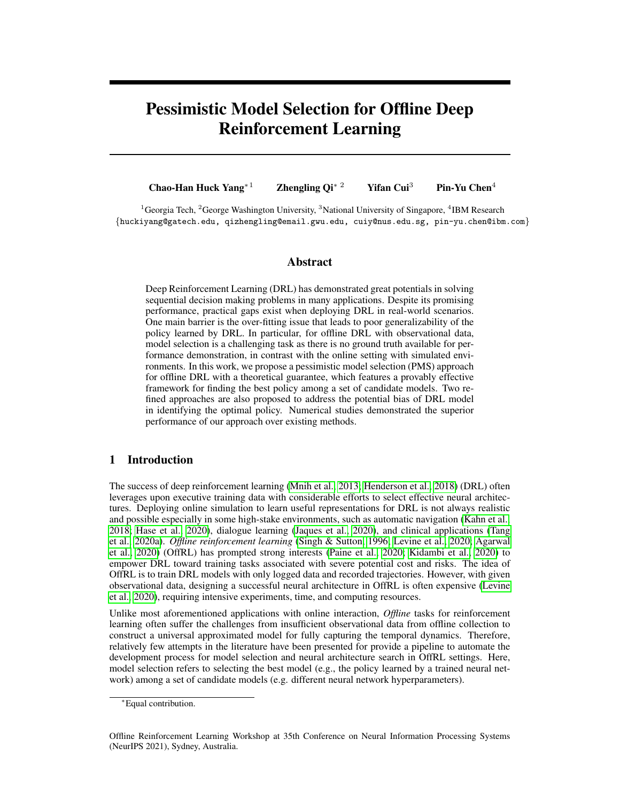$$
E_2 = \frac{O}{nT} \sum_{(i,t) \in J_{o+1}} \omega^{\hat{\pi}_l^{(o)},\nu}(S_{i,t}, A_{i,t}) (\hat{Q}^{\hat{\pi}_l^{(o)}}(S_{i,t}, A_{i,t}) \quad Q^{\hat{\pi}_l^{(o)}}(S_{i,t}, A_{i,t})
$$

$$
+ \gamma \sum_{a \in \mathcal{A}} \hat{\pi}_l^{(o)}(a) S_{i,t+1}) (\hat{Q}^{\hat{\pi}_l^{(o)}}(S_{i,t+1}, a) \quad Q^{\hat{\pi}_l^{(o)}}(S_{i,t+1}, a))),
$$

and

$$
E_3 = \frac{O}{nT} \sum_{(i,t) \in J_{o+1}} (\hat{\omega}^{\hat{\pi}_l^{(o)},\nu}(S_{i,t}, A_{i,t}) \quad \omega^{\hat{\pi}_l^{(o)},\nu}(S_{i,t}, A_{i,t})) (\hat{Q}^{\hat{\pi}_l^{(o)}}(S_{i,t}, A_{i,t}) \quad Q^{\hat{\pi}_l^{(o)}}(S_{i,t}, A_{i,t})
$$

$$
+ \gamma \sum_{a \in A} \hat{\pi}_l^{(o)}(a) S_{i,t+1}) (\hat{Q}^{\hat{\pi}_l^{(o)}}(S_{i,t+1}, a) \quad Q^{\hat{\pi}_l^{(o)}}(S_{i,t+1}, a))).
$$

Next, we bound each of the above three terms. For term  $E_1$ , it can be seen that

$$
\mathbb{E}[E_1/J_o] = 0.
$$

In addition, by Assumptions [3](#page-6-3) and [4,](#page-6-4) we can show

$$
\text{Var}[E_1] = \mathbb{E}[\text{Var}(E_1/J_o)] \cdot \frac{O}{nT}(nT/O)^{-2\kappa_2},
$$

where the inequality is based on that each item in  $E_3$  is uncorrelated with others. Then by Markov's inequality, we can show

$$
jE_1j = O_p((\frac{O}{nT})^{-1/2-\kappa_2}).
$$

Similarly, we can show

$$
jE_2j = O_p\left(\left(\frac{O}{nT}\right)^{-1/2-\kappa_1}\right).
$$

For term  $(E_3)$ , by Cauchy Schwarz inequality and similar arguments as before, we can show

$$
jE_3j = O_p\left(\left(\frac{O}{nT}\right)^{-(\kappa_2+\kappa_1)}\right).
$$

Therefore, as long as  $(\kappa_2 + \kappa_1) > 1/2$ , we have  $E_1 + E_2 + E_3 = o(\sqrt{O/nT})$ , which concludes our proof.

Proof of Theorem [1](#page-6-2) We aim to show that

$$
\frac{\sqrt{nT(O-1)/O\left(\hat{V}(\hat{\pi}_l) - V(\hat{\pi}_l)\right)}}{\hat{\sigma}(l)} = ) \quad \mathcal{N}(0,1).
$$

It can be seen that

$$
\frac{\sqrt{nT(O-1)/O} \left( \hat{V}(\hat{\pi}_l) - V(\hat{\pi}_l) \right)}{\hat{\sigma}(l)} = \sqrt{\frac{nT}{O(O-1)}} \left( \sum_{o=1}^{O-1} \frac{\hat{V}_{\mathcal{D}_{o+1}}(\hat{\pi}_l^{(o)}) - V(\hat{\pi}_l)}{\hat{\sigma}_{o+1}(\hat{\pi}_l^{(o)})} \right) \n= \sqrt{\frac{nT}{O(O-1)}} \left( \sum_{o=1}^{O-1} \frac{\hat{V}_{\mathcal{D}_{o+1}}(\hat{\pi}_l^{(o)}) - V(\hat{\pi}_l^{(o)})}{\hat{\sigma}_{o+1}(\hat{\pi}_l^{(o)})} \right) \n+ \sqrt{\frac{nT}{O(O-1)}} \left( \sum_{o=1}^{O-1} \frac{V(\hat{\pi}_l^{(o)}) - V(\hat{\pi}_l)}{\hat{\sigma}_{o+1}(\hat{\pi}_l^{(o)})} \right).
$$

Define

$$
\phi(J, Q^{\pi}, w^{\pi}, \pi) = \frac{1}{jJj} \sum_{(i,t) \in J} w^{\pi, \nu}(S_{i,t}, A_t) \left( R_{i,t} + \gamma \sum_{a^0 \in \mathcal{A}} \pi(a^{\prime} j S_{i,t+1}) Q^{\pi}(S_{9,t+1}, a^{\prime}) \quad Q^{\pi}(S_{i,t}, A_{i,t}) \right),
$$

where  $jJj$  is the cardinality of the index set J, i.e.,  $jJj = \frac{nT}{Q}$ . Then by Lemma [1,](#page-13-1) we show that

<span id="page-14-0"></span>
$$
\sqrt{\frac{nT}{O}} \frac{\hat{V}_{D_{o+1}}(\hat{\pi}_l^{(o)}) \quad V(\hat{\pi}_l^{(o)})}{\hat{\sigma}_{o+1}(\hat{\pi}_l^{(o)})} = \sqrt{\frac{nT}{O}} \frac{\phi(J_{o+1}, Q^{\hat{\pi}_l^{(o)}}, w^{\hat{\pi}_l^{(o)}}, \hat{\pi}_l^{(o)})}{\hat{\sigma}_{o+1}(\hat{\pi}_l^{(o)})} + o_p(1). \tag{16}
$$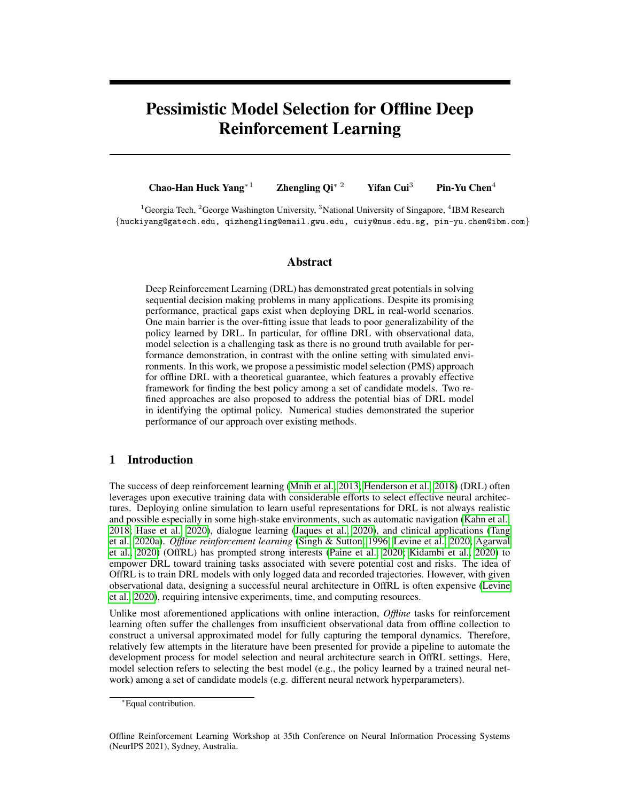If we can show that

$$
\max_{1 \leq o \leq (O-1)} \left| \frac{\partial_{o+1}(\hat{\pi}_l^{(o)})}{\sigma_{o+1}(\hat{\pi}_l^{(o)})} \right| = o_p(1),
$$

which will be shown later, then by Slutsky theorem, we can show that

$$
\sqrt{\frac{n}{O(O-1)}} \left( \sum_{o=1}^{O-1} \frac{\hat{V}_{D_{o+1}}(\hat{\pi}_l^{(o)}) \quad V(\hat{\pi}_l^{(o)})}{\hat{\sigma}_{o+1}(\hat{\pi}_l^{(o)})} \right)
$$
  
= 
$$
\underbrace{\sqrt{\frac{n}{O(O-1)}} \left( \sum_{o=1}^{O-1} \frac{\phi(J_{o+1}, Q^{\hat{\pi}_l^{(o)}}, w^{\hat{\pi}_l^{(o)}}, \hat{\pi}_l^{(o)})}{\sigma_{o+1}(\hat{\pi}_l^{(o)})} \right)}_{(I)} + o_p(1).
$$

For  $(I)$ , we can see that

$$
(I) = \sqrt{\frac{O}{nT(O-1)}} \left( \sum_{o=1}^{O-1} \sum_{(i,t)\in J_{o+1}} w^{\hat{\pi}_t^{(o)},\nu}(S_{i,t}, A_{i,t}) (R_{i,t}) \right)
$$
(17)

<span id="page-15-0"></span>
$$
+\gamma \sum_{a^0 \in \mathcal{A}} \hat{\pi}_l^{(o)}(a' j S_{i,t+1}) Q^{\hat{\pi}_l^{(o)}}(S_{i,t+1}, a') \quad Q^{\hat{\pi}_l^{(o)}}(S_{i,t}, A_{i,t}) / \sigma_{o+1}(\hat{\pi}_l^{(o)})). \tag{18}
$$

By the sequential structure of our proposed algorithm,  $(I)$  forms a mean zero martingale. Then we use Corollary 2.8 of [\(McLeish, 1974\)](#page-11-16) to show its asymptotic distribution. First of all, by the uniformly bounded assumption on Q-function, ratio function and the variance, we can show that

$$
\sqrt{\frac{O}{nT(O-1)}} \max_{1 \leq o \leq (O-1)} \max_{(i,t) \in J_0} \left| w^{\hat{\pi}_l^{(o)},\nu}(S_{i,t}, A_{i,t})(R_{i,t} + \gamma \sum_{a^0 \in \mathcal{A}} \hat{\pi}_l^{(o)}(a^{\prime}/S_{i,t+1}) Q^{\hat{\pi}_l^{(o)}}(S_{i,t+1}, a^{\prime}) \right|
$$
  

$$
Q^{\hat{\pi}_l^{(o)}}(S_{i,t}, A_{i,t}) / \sigma_{o+1}(\hat{\pi}_l^{(o)}) \right| = o_p(1).
$$

Next, we aim to show that

$$
\frac{O}{nT(O-1)} \left| \left( \sum_{o=1}^{O-1} \sum_{(i,t) \in J_{o+1}} f w^{\hat{\pi}_l^{(o)},\nu}(S_{i,t}, A_{i,t}) (R_{i,t} - A_{i,t}) \right) \right|_{\hat{\pi}_l^{(o)}(G_{i,t})} \left| \left( \sum_{i=1}^{O-1} \hat{\pi}_i^{(o)}(S_{i,t+1}, a') - Q^{\hat{\pi}_l^{(o)}}(S_{i,t}, A_{i,t}) \right) g^2 / \sigma_{o+1}^2(\hat{\pi}_l^{(o)}) \right| \right| = o_p(1).
$$
\n
$$
(19)
$$

Notice that the left hand side of the above is bounded above by

$$
\frac{O}{nT} \max_{1 \leq o \leq (O-1)} \left| \left( \sum_{(i,t) \in J_{o+1}} f w^{\hat{\pi}_l^{(o)},\nu}(S_{i,t}, A_{i,t}) (R_{i,t}) \right) \right| \tag{20}
$$

$$
+\gamma \sum_{a^0 \in \mathcal{A}} \hat{\pi}_l^{(o)}(a^{\prime} j S_{i,t+1}) Q^{\hat{\pi}_l^{(o)}}(S_{i,t+1}, a^{\prime}) \quad Q^{\hat{\pi}_l^{(o)}}(S_{i,t}, A_{i,t})) g^2 / \sigma_{o+1}^2(\hat{\pi}_l^{(o)}) \quad 1 \bigg| \,. \tag{21}
$$

Because, for each  $1 \quad o \quad (O \quad 1)$ ,

$$
\frac{O}{nT} \left\{ \left( \sum_{(i,t)\in J_{o+1}} f w^{\hat{\pi}_l^{(o)},\nu}(S_{i,t}, A_{i,t})(R_{i,t}) \right) \right\}
$$
\n(22)

$$
+\gamma \sum_{a^0 \in \mathcal{A}} \hat{\pi}_l^{(o)}(a^{\prime} j S_{i,t+1}) Q^{\hat{\pi}_l^{(o)}}(S_{i,t+1}, a^{\prime}) \quad Q^{\hat{\pi}_l^{(o)}}(S_{i,t}, A_{i,t})) \mathcal{G}^2 \quad \mathbb{E}[\mathcal{F}w^{\hat{\pi}_l^{(o)},\nu}(S, A)(R \quad (23)
$$

$$
+\gamma \sum_{a^0 \in \mathcal{A}} \hat{\pi}_l^{(o)}(a'jS')Q^{\hat{\pi}_l^{(o)}}(S',a') \quad Q^{\hat{\pi}_l^{(o)}}(S,A))g]/\sigma_{o+1}^2(\hat{\pi}_l^{(o)}))\Bigg\},\tag{24}
$$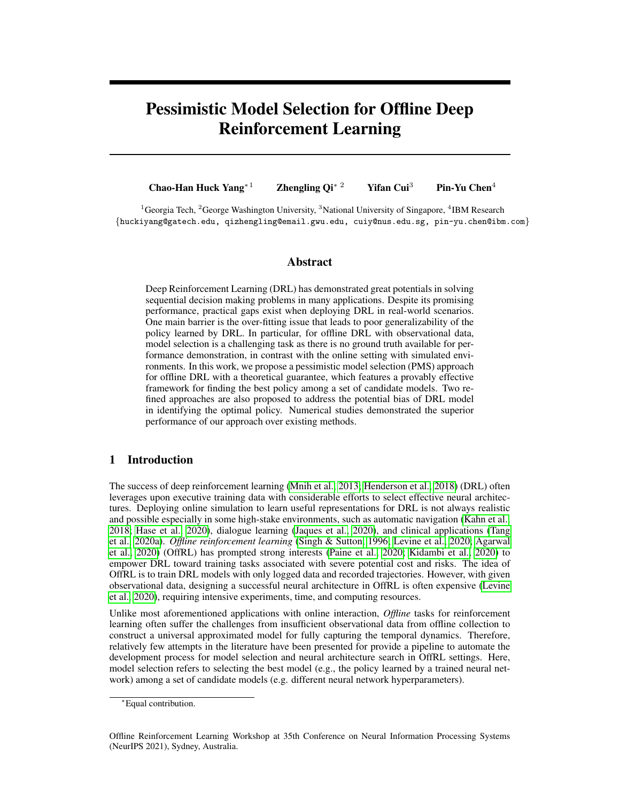forms a mean zero martingale, we apply Freedman's inequality in [\(Freedman, 1975\)](#page-9-10) with Assump-tions [3](#page-6-3)[-5](#page-6-5) to show it is bounded by  $O_p(\sqrt{\frac{Q}{nT}})$ . Applying union bound shows [\(19\)](#page-15-0) is  $o_p(1)$  and furthermore consistency of  $\partial(\hat{\pi}_l)$  in [\(16\)](#page-14-0) holds. Then we apply the martingale central limit theorem to show

$$
\sqrt{\frac{n}{O(O-1)}} \left( \sum_{o=1}^{O-1} \frac{\phi(J_{o+1}, Q^{\hat{\pi}_l^{(o)}}, w^{\hat{\pi}_l^{(o)}}, \hat{\pi}_l^{(o)})}{\sigma_{o+1}(\hat{\pi}_l^{(o)})} \right) =) \quad \mathcal{N}(0, 1).
$$

The remaining is to show

$$
\sqrt{\frac{n}{O(O-1)}} \left( \sum_{o=1}^{O-1} \frac{V(\hat{\pi}_l^{(o)}) \quad V(\hat{\pi}_l)}{\hat{\sigma}_{o+1}(\hat{\pi}_l^{(o)})} \right)
$$

is asymptotically negligible. Consider

$$
E\left|V(\hat{\pi}_l^{(o)})\quad V(\hat{\pi}_l)\right|\tag{25}
$$

$$
E\left|V(\hat{\pi}_l^{(o)})\quad V(\pi_l^*)\right| + EjV(\hat{\pi}_l)\quad V(\pi_l^*)j\tag{26}
$$

$$
E\left|V(\hat{\pi}_l^{(o)})\quad V(\pi_l^*)\right| + EjV(\hat{\pi}_l)\quad V(\pi_l^*)j\tag{27}
$$

$$
(nTo)^{-\kappa}O^{\kappa} + (nT)^{-\kappa},\tag{28}
$$

where we use Assumption [2](#page-5-3) for the last inequality. Summarizing together, we can show that

$$
\sqrt{\frac{nT}{O(O-1)}} \mathbb{E} \left| \sum_{o=1}^{O-1} V(\hat{\pi}_l^{(o)}) - V(\hat{\pi}_l) \right|
$$
  

$$
\sqrt{\frac{nT}{O(O-1)}} \sum_{o=1}^{O-1} (nT_o)^{-\kappa} O^{\kappa} + \sqrt{\frac{nT(O-1)}{O}} (nT)^{-\kappa}
$$
  

$$
\sqrt{\frac{nTO^2}{O(O-1)}} \sum_{o=1}^{O-1} (nT)^{-\kappa} + \sqrt{\frac{nT(O-1)}{O}} (nT)^{-\kappa}
$$
  
= o(1),

where we obtain the second inequality by that  $\sum_{q=1}^{O-1} o^{-\kappa}$   $1 + \int_{1}^{O} o^{-\kappa}$  do .  $O^{1-\kappa}$ . In the last inequality, we use  $\kappa > 1$  in Assumption [2.](#page-5-3) Then Markov inequality gives that

$$
\sqrt{\frac{n}{O(O-1)}}\left(\sum_{o=1}^{O-1}V(\hat{\pi}_l^{(o)})\quad V(\hat{\pi}_l)\right)=o_p(1).
$$

Moreover, by Assumption [5](#page-6-5) that  $inf_{1 \leq o \leq O-1} \hat{\sigma}_{o+1}(\hat{\pi}_{l}^{(o)})$  $\binom{0}{l}$  c for some constant  $c > 0$ , we can further show that

$$
\sqrt{\frac{nT}{O(O-1)}}\left(\sum_{o=1}^{O-1}\frac{V(\hat{\pi}_l^{(o)})-V(\hat{\pi}_l)}{\hat{\sigma}_{o+1}(\hat{\pi}_l^{(o)})}\right)=o_p(1),
$$

which completes our proof.

**Proof of Corollary [1](#page-6-0)** Denote the sets  $E_l = f_j V(\hat{\pi}_l)$   $\hat{V}(\hat{\pi}_l)$   $\hat{u}(l)g, l = 1, ..., L$ , where  $\hat{u}(l) = z_{\alpha/2} \sqrt{nT(O-1)/O} \hat{\sigma}(l)$ . Note that lim inf $_{nT\to\infty}$  Pr( $\setminus_{j=1}^{L}E_j$ ) 1 L $\alpha$  and

$$
\Pr(V(\hat{\pi}_i) \max_{1 \leq l \leq L} V(\hat{\pi}_l) 2\hat{u}(l))
$$
\n
$$
= \Pr(V(\hat{\pi}_i) \hat{V}(\hat{\pi}_i) + \hat{V}(\hat{\pi}_i) \max_{1 \leq l \leq L} V(\hat{\pi}_l) \hat{V}(\hat{\pi}_l) 2\hat{u}(l) + \hat{V}(\hat{\pi}_l))
$$
\n
$$
\Pr(V(\hat{\pi}_i) \hat{V}(\hat{\pi}_i) + \hat{V}(\hat{\pi}_i) \max_{1 \leq l \leq L} V(\hat{\pi}_l) \hat{V}(\hat{\pi}_l) 2\hat{u}(l) + \hat{V}(\hat{\pi}_l) \hat{V}_{j=1}^L E_j) \Pr(\hat{V}_{j=1}^L E_j)
$$
\n
$$
\Pr(\hat{V}(\hat{\pi}_i) \hat{u}(l) \max_{1 \leq l \leq L} \hat{V}(\hat{\pi}_l) \hat{u}(l) / \frac{L}{j=1} E_j) \Pr(\hat{V}_{j=1}^L E_j)
$$
\n
$$
= \Pr(\hat{V}_{j=1}^L E_j),
$$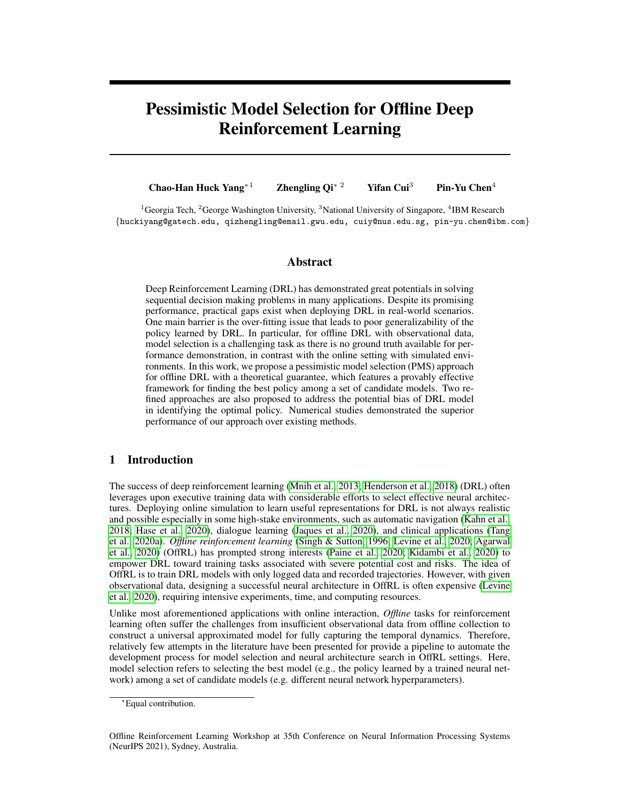where the last inequality holds because given the event  $\setminus_{j=1}^{L} E_j$ , one has  $\hat{u}$ (  $V(\hat{\pi}_i)$ )  $\hat{V}(\hat{\pi}_{\hat{l}})$ and  $V(\hat{\pi}_l)$   $\hat{V}(\hat{\pi}_l)$   $\hat{u}(l)$  for any l. This completes the proof by taking lim inf on both sides.

Proof of Theorem [2](#page-7-5) To show the results in Theorem [2,](#page-7-5) it can be seen that

$$
\left| \frac{\sqrt{n}T(O-1)/O\left(\hat{V}(\hat{\pi}_l) - V(\pi^*)\right)}{\hat{\sigma}(l)} \right| = \left| \sqrt{\frac{n}O(O-1)} \left( \sum_{o=1}^{O-1} \frac{\hat{V}_{D_{o+1}}(\hat{\pi}_l^{(o)}) - V(\hat{\pi}_l^{(o)})}{\hat{\sigma}_{o+1}(\hat{\pi}_l^{(o)})} \right) \right|
$$

$$
+ \sqrt{\frac{n}O(O-1)} \left( \sum_{o=1}^{O-1} \frac{V(\hat{\pi}_l^{(o)}) - V(\pi^*)}{\hat{\sigma}_{o+1}(\hat{\pi}_l^{(o)})} \right)
$$

$$
\left| \sqrt{\frac{n}O(O-1)} \left( \sum_{o=1}^{O-1} \frac{\hat{V}_{D_{o+1}}(\hat{\pi}_l^{(o)}) - V(\hat{\pi}_l^{(o)})}{\hat{\sigma}_{o+1}(\hat{\pi}_l^{(o)})} \right) \right|
$$

$$
+ B(l)\sqrt{\frac{n}O(O-1)} \left( \sum_{o=1}^{O-1} \frac{1}{\hat{\sigma}_{o+1}(\hat{\pi}_l^{(o)})} \right).
$$

Then by results in the proof of Theorem [1,](#page-6-2) we can show that

$$
\lim_{nT \to \infty} \Pr((I) > z_{\alpha/2}) = \alpha. \tag{29}
$$

This implies that

$$
\liminf_{nT \to \infty} \Pr\left(jV(\pi^*) - \hat{V}(\hat{\pi}_l)j - z_{\alpha/2}\sqrt{O/nT(O-1)}\hat{\sigma}(l) + B(l)\right) \tag{30}
$$

$$
\lim_{nT \to \infty} \Pr((I) \quad z_{\alpha/2}) = 1 \quad \alpha,\tag{31}
$$

which concludes our proof.

Proof of Corollary [2](#page-7-1): We mainly show the proof of the second claim in the corollary, based on which the first claim can be readily seen. Define an event E such that  $1 \quad l \quad L$ ,  $j\vee(\hat{\pi}_l) \quad \hat{\vee}(\hat{\pi}_l)j$  $c(\delta)$  log $(L)\hat{\sigma}(i)/$  $\cancel{v}$  $\overline{NT}$  and  $jV(\pi^*)$   $\sqrt[n]{(\hat{\pi}_l)}$   $z_{\alpha/(2L)}\sqrt{O/nT(O-1)}\partial(l) + B(l)$ . Based on the assumption given in Corollary [2](#page-7-1) and Theorem [2,](#page-7-5) we have  $\lim_{nT \to \infty} \inf P(E)$  1  $\delta$   $\alpha$ . In the following, we suppose event  $E$  holds.

Inspired by the proofs of Corollary 1 in [\(Mathe, 2006\)](#page-11-17) and Theorem 3 of [\(Su et al., 2020\)](#page-12-4), we ´ define  $t = \max f l$  :  $B(l)$   $u_1(l) + u_2(l)g$ , where  $u_1(l) = z_{\alpha/(2L)}\sqrt{O/nT(O-1)}\hat{\sigma}(l)$ . Let  $u_2(l) = c(\delta) \log(L) \hat{\sigma}(i)/$ p  $\overline{NT}$ . By Assumption [7,](#page-7-4) for  $l$  t,

$$
B(l) \qquad B(t) \qquad u_1(t) \qquad u_1(l),
$$

which further implies that for any  $l$   $\bar{t}$ ,

$$
j\hat{V}(\hat{\pi}_l) \quad V(\pi^*)j \quad B(l) + u_1(l) \quad 2u_1(l).
$$

Then  $V(\pi^*)$  2  $I(l)$  based on the construction of  $I(l)$  for all  $l \pi$ . In addition, we have for  $l \pi$ 

$$
jV(\hat{\pi}_l) \quad V(\pi^*)j \quad 2u_1(l) + u_2(l), \tag{32}
$$

by triangle inequality and event E. Since  $I(l)$  share at least one common element for  $1 \quad l$ ~l, we have  $\hat{i}$  f. Moreover, there must exist an element x such that  $x \geq I(t) \setminus I(\hat{i})$ , where  $\hat{j} \vee (\hat{\pi}_{\hat{i}})$  $xj$  $u_1(t)$  and  $j\hat{V}(\hat{\pi}_{\hat{i}})$   $x_j - u_1(\hat{i})$ . This indicates that

$$
j\hat{V}(\hat{\pi}_{\hat{i}} - V(\pi^*)j j\hat{V}(\hat{\pi}_{\hat{i}}) - xj + j\hat{V}(\hat{\pi}_{\hat{i}}) - xj + j\hat{V}(\hat{\pi}_{\hat{i}}) - V(\pi^*)j \tag{33}
$$

<span id="page-17-0"></span>
$$
u_1(\hat{i}) + 2u_1(t) - 3u_1(t), \tag{34}
$$

by again triangle inequality and Assumption [7,](#page-7-4) and

$$
jV(\hat{\pi}_{\hat{i}}) \qquad V(\pi^*)j \qquad u_2(\hat{i}) + 3u_1(\hat{t}) \qquad u_2(\hat{t}) + 3u_1(\hat{t}), \tag{35}
$$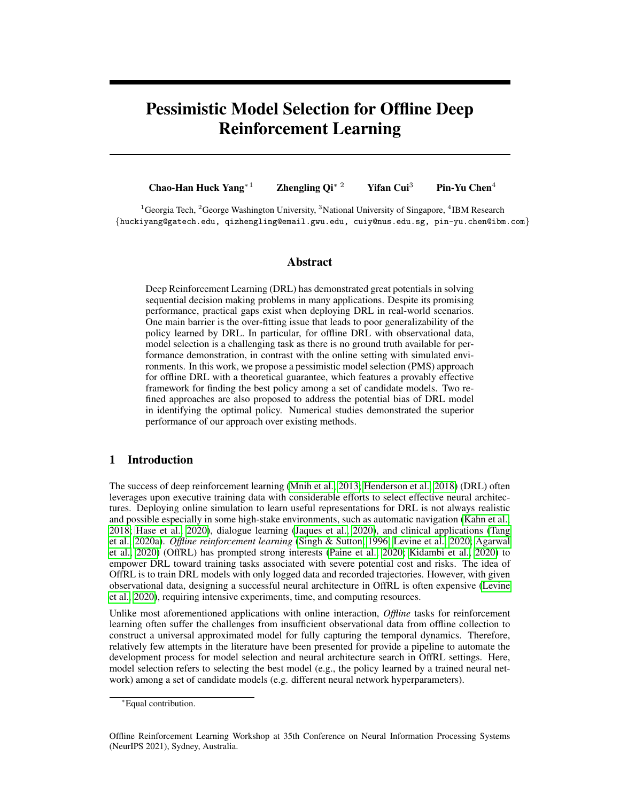by event E and Assumption [7.](#page-7-4) Define  $l^* = \min \mathcal{H}$  :  $B(l) + u_1(l) + u_2(l)g$ . Then following the similar proof of [\(Su et al., 2020\)](#page-12-4), we consider two cases:

Case 1: If  $l^*$ *, then we have* 

$$
u_2(t) + B(t) + u_1(t) - 2u_1(l^*) + u_2(l^*) - 2u_1(l^*) + 2B(l^*) + u_2(l^*),
$$

 $\overline{v}$ where we use Assumption [7.](#page-7-4)

**Case 2:** If  $l^* > t$ , then we have

$$
\zeta(u_2(t) + u_1(t)) \quad (u_2(t+1) + u_1(t+1)) \quad B(t+1) \quad B(t^*),
$$

where we use Assumption [7.](#page-7-4) This implies that

$$
u_2(t) + u_1(t) + B(t) \quad (1 + 1/\zeta)B(l^*).
$$

Combining two cases, we can show that

$$
u_2(t) + u_1(t) + B(t) \quad (1 + 1/\zeta)(B(l^*) + u_1(l^*) + u_2(l^*)),
$$

as  $\zeta$  < 1. Together with [\(33\)](#page-17-0), we have

$$
jV(\hat{\pi}_i) \quad V(\pi^*)j \quad u_2(\hat{i}) + 3u_1(\hat{t}) \quad 3(1+1/\zeta)(B(\hat{t}^*) + u_1(\hat{t}^*) + u_2(\hat{t}^*)), \tag{36}
$$

which concludes our proof.

## <span id="page-18-0"></span>C More Details on DQN Environments

<span id="page-18-1"></span>

Figure 5: DQN environments in our studies: (a)  $\mathbf{E}_1$ : *FrozenLake-v0*; (b)  $\mathbf{E}_2$ : *Banana Collectors* (3D geometrical navigation task); (c)  $\mathbf{E}_3$ : *Pong-v0*; (d)  $\mathbf{E}_4$ : *Breakout-v0*; (e)  $\mathbf{E}_5$ : *Halfcheetah-v1*; (f)  $\mathbf{E}_6$ : *Walker2d-v1*.

We introduce our deployed DQN environments in this section, which included four environments with discrete action (E<sub>1</sub> to E<sub>4</sub>) and two environments (E<sub>5</sub> to E<sub>6</sub>) with continuous action. These environments cover wide applications, including tabular learning  $(E_1)$ , navigation to a target object in a geometrical space (E<sub>2</sub>), digital gaming (E<sub>3</sub> to E<sub>4</sub>), and continuous control (E<sub>5</sub> to E<sub>6</sub>).

<span id="page-18-2"></span>

Figure 6: Policy selection using top-k ranking regret score in  $E_1$  (Frozen Lake).



Figure 7: Policy selection as ing top-k ranking precision in  $E_1$  (Frozen Lake).

 $E_1$ : Frozen Lake: The Frozen Lake is a maze environment that manipulates an agent to walk from a starting point (S) to a goal point without failing into the hole (H). We use *FrozenLake-v0* from OpenAI Gym [\(Brockman et al., 2016\)](#page-9-9) as shown in Fig [5\(](#page-18-1)a). We provide top-5 regret and precision results shown in Figure [6](#page-18-2) and [7.](#page-18-2)

E2: Banana Collector: The Banana collector is one popular 3D-graphical navigation environ-ment that compresses discrete actions and states as an open source DQN benchmark from Unity <sup>[2](#page-18-3)</sup>

<span id="page-18-3"></span> $^{2}$ <https://www.youtube.com/watch?v=heVMs3t9qSk>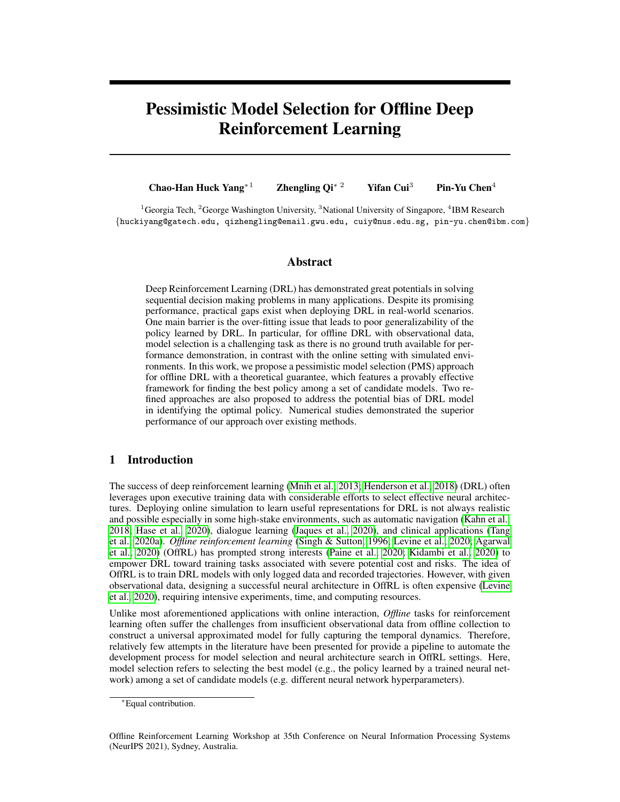ML-Agents v0.3.[\(Juliani et al., 2018\)](#page-10-17). The DRL agent controls an automatic vehicle with 37 dimensions of state observations including velocity and a ray-based perceptional information from objects around the agent. The targeted reward is 12.0 points by accessing correct yellow bananas  $(+1)$  and avoiding purple bananas ( 1) in first-person point of view as shown in Fig [5\(](#page-18-1)b). We provide the related top-5 regret and precision results shown in Figure [8](#page-19-0) and [9.](#page-19-0)

<span id="page-19-0"></span>

Figure 8: Policy selection using top-k ranking regret score in  $E_2$  (Banana Collector).

<span id="page-19-1"></span>

**Figure 10:** Policy selection using top-k ranking regret score in  $\mathbf{E}_3$  (Pong).



Figure 9: Policy selection using top-k ranking precision in  $E_2$  (Banana Collector).



**Figure 11:** Policy selection using top-k ranking precision in  $\mathbf{E}_3$  (Pong).

E3: Pong: Pong is one Atari game environment from OpenAI Gym [\(Brockman et al., 2016\)](#page-9-9) as shown in Fig [5\(](#page-18-1)c). We provide its top-5 regret and precision results shown in Figure [10](#page-19-1) and [11.](#page-19-1)

<span id="page-19-2"></span>

Figure 12: Policy selection using top-k ranking regret score in  $E_4$  (Breakout).

<span id="page-19-3"></span>

Figure 14: Policy selection using top-k ranking regret score in E<sup>5</sup> (HalfCheetah-v1).



Figure  $13$ : Policy selection using top-k ranking precision in E<sup>4</sup> (HalfCheetah-v1).



Figure  $15$ : Policy selection using top-k ranking precision in  $E_5$  (HalfCheetah-v1).

E4: Breakout: Breakout is one Atari game environment from OpenAI Gym [\(Brockman et al., 2016\)](#page-9-9) as shown in Fig [12\(](#page-19-2)d). We provide the related top-5 regret and precision results shown in Figure [12](#page-19-2) and [13.](#page-19-2)

 $E_5$ : HalfCheetah-v1: Halfcheetah is a continuous action and state environment to control agent with monuments made by MuJoCo simulators as shown in Fig [5\(](#page-18-1)e). We provide the related top-5 regret and precision results shown in Figure [14](#page-19-3) and [15.](#page-19-3)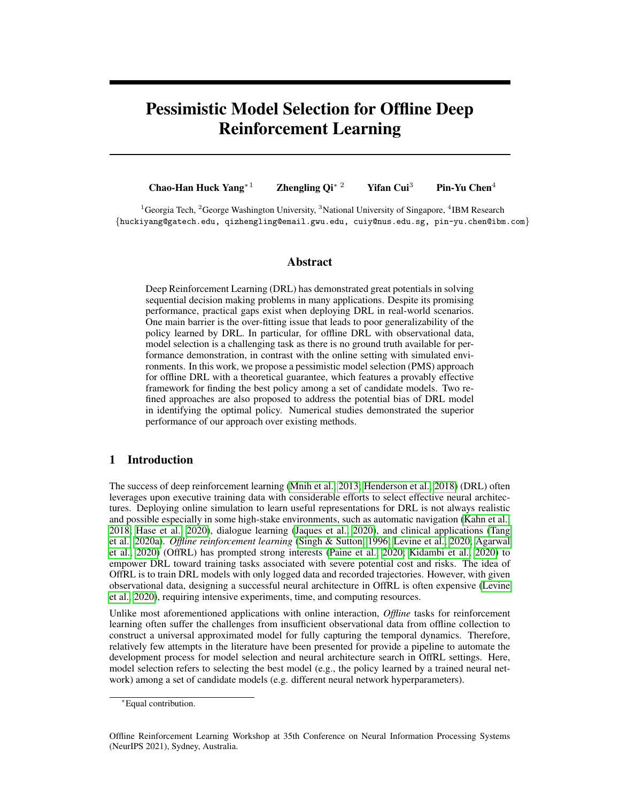<span id="page-20-1"></span>

**Figure 16:** Policy selection using top-k ranking regret score in E<sub>6</sub> (Walker2d-v1).



**Figure 17:** Policy selection using top-k ranking precision in  $E_6$  (Walker2d-v1).

 $E_6$ : Walker2d-v1: Walker2d-v1 is a continuous action and state environment to control agent with monuments made by MuJoCo simulators as shown in Fig [5\(](#page-18-1)f). We provide the related top-5 regret and precision results shown in Figure [16](#page-20-1) and [17.](#page-20-1)

#### <span id="page-20-0"></span>C.1 Hyper-Parameters Information

We select a total of 70 DQN based models for each environment. We will open source the model and implementation for future studies. Table [1,](#page-20-2) Table [2,](#page-20-3) and Table [3](#page-20-4) summarize their hyper-parameter and setups. In addition, Figure [18](#page-21-0) and Figure [19](#page-21-0) provide ablation studies on different scales of  $\alpha$  and O selection in PMS experiments for the deployed DRL navigation task  $(E_2)$ . From the experimental results, a more pessimistic  $\alpha$  (e.g., 0.001) is associated with a slightly better attained top-5 regret. Meanwhile, the selection of O does not produce much different performance on selected policies but slightly affects the range of the selected policies.

<span id="page-20-2"></span>**Table 1:** Hyper-parameters information for for DQN models used in  $\mathbf{E}_1$  to  $\mathbf{E}_2$ 

| Hyper-parameters        | Values                    |
|-------------------------|---------------------------|
| Hidden layers           | f1, 2g                    |
| Hidden units            | f16, 32, 64, 128g         |
| Learning rate           | f1 $e^{-3}$ , 5 $e^{-4}q$ |
| DQN training iterations | f100, 500, 1k, 2kq        |
| Batch size              | f64a                      |

<span id="page-20-3"></span>Table 2: Hyper-parameters information for for DQN models used in  $E_3$  to  $E_4$ 

| Hyper-parameters        | Values                    |
|-------------------------|---------------------------|
| Convolutional layers    | f2,3g                     |
| Convolutional units     | f16, 32g                  |
| Hidden layers           | f2,3q                     |
| Hidden units            | f64, 256, 512q            |
| Learning rate           | f1 $e^{-3}$ , 5 $e^{-4}q$ |
| DQN training iterations | f4M, 4.5M, 5Mq            |
| Batch size              | f64a                      |

<span id="page-20-4"></span>Table 3: Hyper-parameters information for double DQN (DDQN) models [\(Van Hasselt et al., 2016\)](#page-12-16) with a prioritized replay [\(Schaul et al., 2015\)](#page-11-18) used in  $\mathbf{E}_5$  to  $\mathbf{E}_6$ .

| Hyper-parameters      | Values                       |
|-----------------------|------------------------------|
| Hidden layers         | <i>f</i> 4, 5, 6 <i>g</i>    |
| Hidden units          | f64, 128, 256, 512q          |
| Learning rate         | $e^{-3}$ , 5 $e^{-4}q$<br>f1 |
| DDQN training frames  | f40M, 45M, 50Mg              |
| Batch size            | f256q                        |
| Buffer size           | $f10^6q$                     |
| <b>Updated</b> target | f1000g                       |
|                       |                              |